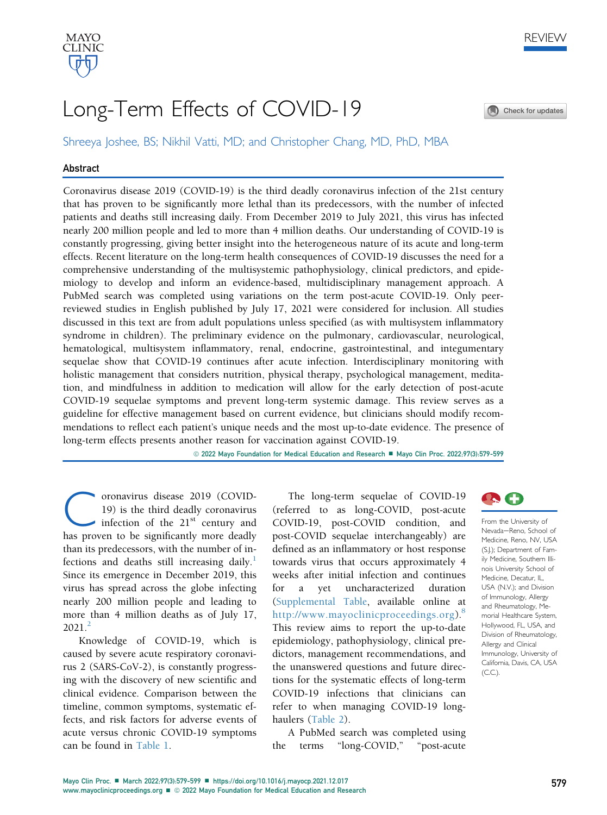

# Long-Term Effects of COVID-19

REVIEW

Shreeya Joshee, BS; Nikhil Vatti, MD; and Christopher Chang, MD, PhD, MBA

# Abstract

Coronavirus disease 2019 (COVID-19) is the third deadly coronavirus infection of the 21st century that has proven to be significantly more lethal than its predecessors, with the number of infected patients and deaths still increasing daily. From December 2019 to July 2021, this virus has infected nearly 200 million people and led to more than 4 million deaths. Our understanding of COVID-19 is constantly progressing, giving better insight into the heterogeneous nature of its acute and long-term effects. Recent literature on the long-term health consequences of COVID-19 discusses the need for a comprehensive understanding of the multisystemic pathophysiology, clinical predictors, and epidemiology to develop and inform an evidence-based, multidisciplinary management approach. A PubMed search was completed using variations on the term post-acute COVID-19. Only peerreviewed studies in English published by July 17, 2021 were considered for inclusion. All studies discussed in this text are from adult populations unless specified (as with multisystem inflammatory syndrome in children). The preliminary evidence on the pulmonary, cardiovascular, neurological, hematological, multisystem inflammatory, renal, endocrine, gastrointestinal, and integumentary sequelae show that COVID-19 continues after acute infection. Interdisciplinary monitoring with holistic management that considers nutrition, physical therapy, psychological management, meditation, and mindfulness in addition to medication will allow for the early detection of post-acute COVID-19 sequelae symptoms and prevent long-term systemic damage. This review serves as a guideline for effective management based on current evidence, but clinicians should modify recommendations to reflect each patient's unique needs and the most up-to-date evidence. The presence of long-term effects presents another reason for vaccination against COVID-19.

© 2022 Mayo Foundation for Medical Education and Research ■ Mayo Clin Proc. 2022;97(3):579-599

coronavirus disease 2019 (COVID-<br>19) is the third deadly coronavirus<br>infection of the  $21<sup>st</sup>$  century and<br>has proven to be significantly more deadly 19) is the third deadly coronavirus infection of the 21<sup>st</sup> century and has proven to be significantly more deadly than its predecessors, with the number of in-fections and deaths still increasing daily.<sup>[1](#page-17-0)</sup> Since its emergence in December 2019, this virus has spread across the globe infecting nearly 200 million people and leading to more than 4 million deaths as of July 17,  $2021<sup>2</sup>$  $2021<sup>2</sup>$ 

Knowledge of COVID-19, which is caused by severe acute respiratory coronavirus 2 (SARS-CoV-2), is constantly progressing with the discovery of new scientific and clinical evidence. Comparison between the timeline, common symptoms, systematic effects, and risk factors for adverse events of acute versus chronic COVID-19 symptoms can be found in [Table 1](#page-2-0).

The long-term sequelae of COVID-19 (referred to as long-COVID, post-acute COVID-19, post-COVID condition, and post-COVID sequelae interchangeably) are defined as an inflammatory or host response towards virus that occurs approximately 4 weeks after initial infection and continues for a yet uncharacterized duration (Supplemental Table, available online at [http://www.mayoclinicproceedings.org\)](http://www.mayoclinicproceedings.org).<sup>8</sup> This review aims to report the up-to-date epidemiology, pathophysiology, clinical predictors, management recommendations, and the unanswered questions and future directions for the systematic effects of long-term COVID-19 infections that clinicians can refer to when managing COVID-19 longhaulers ([Table 2\)](#page-4-0).

A PubMed search was completed using the terms "long-COVID," "post-acute



From the University of Nevada-Reno, School of Medicine, Reno, NV, USA (S.J.); Department of Family Medicine, Southern Illinois University School of Medicine, Decatur, IL, USA (N.V.); and Division of Immunology, Allergy and Rheumatology, Memorial Healthcare System, Hollywood, FL, USA, and Division of Rheumatology, Allergy and Clinical Immunology, University of California, Davis, CA, USA (C.C.).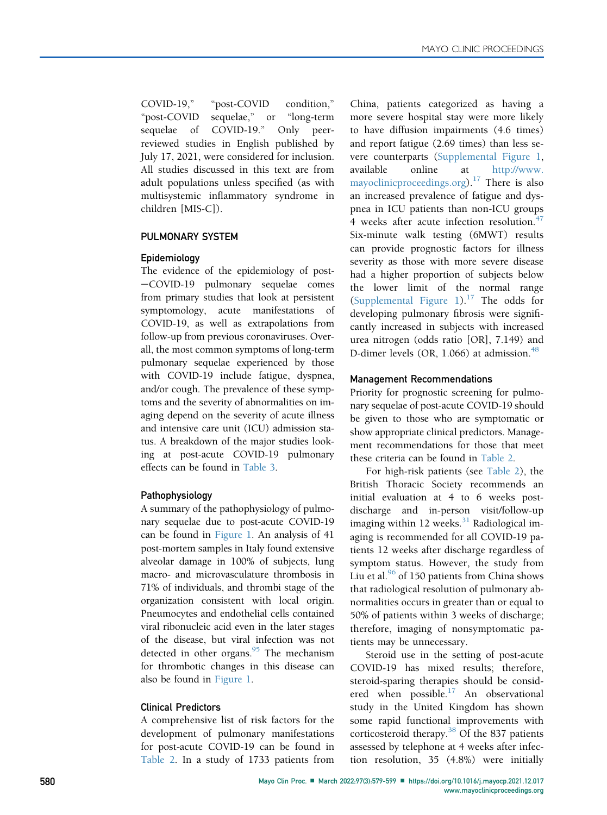COVID-19," "post-COVID condition," "post-COVID sequelae," or "long-term sequelae of COVID-19." Only peerreviewed studies in English published by July 17, 2021, were considered for inclusion. All studies discussed in this text are from adult populations unless specified (as with multisystemic inflammatory syndrome in children [MIS-C]).

#### PULMONARY SYSTEM

#### **Epidemiology**

The evidence of the epidemiology of post- $-COVID-19$  pulmonary sequelae comes from primary studies that look at persistent symptomology, acute manifestations of COVID-19, as well as extrapolations from follow-up from previous coronaviruses. Overall, the most common symptoms of long-term pulmonary sequelae experienced by those with COVID-19 include fatigue, dyspnea, and/or cough. The prevalence of these symptoms and the severity of abnormalities on imaging depend on the severity of acute illness and intensive care unit (ICU) admission status. A breakdown of the major studies looking at post-acute COVID-19 pulmonary effects can be found in [Table 3](#page-7-0).

#### Pathophysiology

A summary of the pathophysiology of pulmonary sequelae due to post-acute COVID-19 can be found in [Figure 1.](#page-12-0) An analysis of 41 post-mortem samples in Italy found extensive alveolar damage in 100% of subjects, lung macro- and microvasculature thrombosis in 71% of individuals, and thrombi stage of the organization consistent with local origin. Pneumocytes and endothelial cells contained viral ribonucleic acid even in the later stages of the disease, but viral infection was not detected in other organs. $95$  The mechanism for thrombotic changes in this disease can also be found in [Figure 1](#page-12-0).

#### Clinical Predictors

A comprehensive list of risk factors for the development of pulmonary manifestations for post-acute COVID-19 can be found in [Table 2.](#page-4-0) In a study of 1733 patients from

China, patients categorized as having a more severe hospital stay were more likely to have diffusion impairments (4.6 times) and report fatigue (2.69 times) than less severe counterparts (Supplemental Figure 1, available online at [http://www.](http://www.mayoclinicproceedings.org) [mayoclinicproceedings.org](http://www.mayoclinicproceedings.org)).<sup>[17](#page-17-3)</sup> There is also an increased prevalence of fatigue and dyspnea in ICU patients than non-ICU groups 4 weeks after acute infection resolution.<sup>[47](#page-18-0)</sup> Six-minute walk testing (6MWT) results can provide prognostic factors for illness severity as those with more severe disease had a higher proportion of subjects below the lower limit of the normal range (Supplemental Figure 1).<sup>[17](#page-17-3)</sup> The odds for developing pulmonary fibrosis were significantly increased in subjects with increased urea nitrogen (odds ratio [OR], 7.149) and D-dimer levels  $(OR, 1.066)$  at admission.<sup>[48](#page-18-1)</sup>

#### Management Recommendations

Priority for prognostic screening for pulmonary sequelae of post-acute COVID-19 should be given to those who are symptomatic or show appropriate clinical predictors. Management recommendations for those that meet these criteria can be found in [Table 2.](#page-4-0)

For high-risk patients (see [Table 2](#page-4-0)), the British Thoracic Society recommends an initial evaluation at 4 to 6 weeks postdischarge and in-person visit/follow-up imaging within 12 weeks. $31$  Radiological imaging is recommended for all COVID-19 patients 12 weeks after discharge regardless of symptom status. However, the study from Liu et al.<sup>[96](#page-19-1)</sup> of 150 patients from China shows that radiological resolution of pulmonary abnormalities occurs in greater than or equal to 50% of patients within 3 weeks of discharge; therefore, imaging of nonsymptomatic patients may be unnecessary.

Steroid use in the setting of post-acute COVID-19 has mixed results; therefore, steroid-sparing therapies should be considered when possible. $17$  An observational study in the United Kingdom has shown some rapid functional improvements with corticosteroid therapy.<sup>[38](#page-18-3)</sup> Of the 837 patients assessed by telephone at 4 weeks after infection resolution, 35 (4.8%) were initially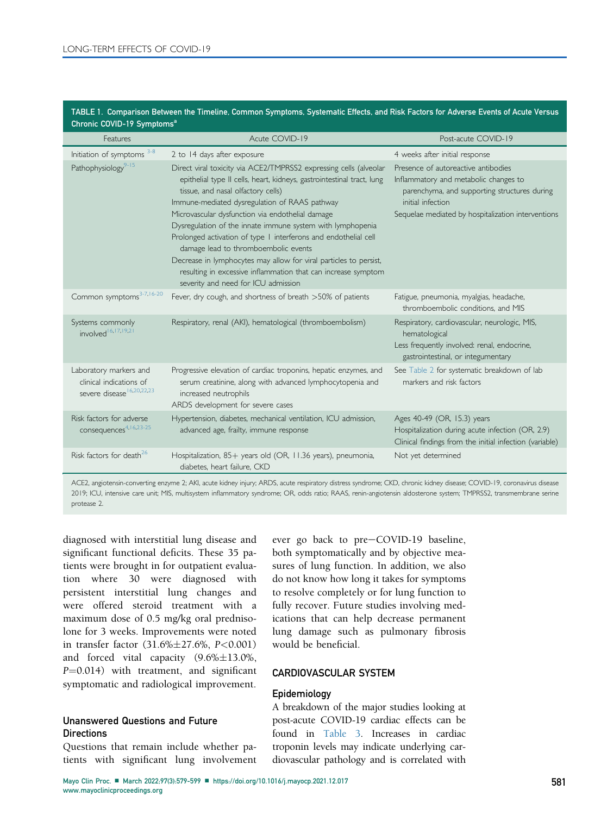#### <span id="page-2-0"></span>TABLE 1. Comparison Between the Timeline, Common Symptoms, Systematic Effects, and Risk Factors for Adverse Events of Acute Versus Chronic COVID-19 Symptoms<sup>a</sup>

| Features                                                                                   | Acute COVID-19                                                                                                                                                                                                                                                                                                                                                                                                                                                                                                                                                                                                                               | Post-acute COVID-19                                                                                                                                                                                     |
|--------------------------------------------------------------------------------------------|----------------------------------------------------------------------------------------------------------------------------------------------------------------------------------------------------------------------------------------------------------------------------------------------------------------------------------------------------------------------------------------------------------------------------------------------------------------------------------------------------------------------------------------------------------------------------------------------------------------------------------------------|---------------------------------------------------------------------------------------------------------------------------------------------------------------------------------------------------------|
| Initiation of symptoms 3-8                                                                 | 2 to 14 days after exposure                                                                                                                                                                                                                                                                                                                                                                                                                                                                                                                                                                                                                  | 4 weeks after initial response                                                                                                                                                                          |
| Pathophysiology <sup>9-15</sup>                                                            | Direct viral toxicity via ACE2/TMPRSS2 expressing cells (alveolar<br>epithelial type II cells, heart, kidneys, gastrointestinal tract, lung<br>tissue, and nasal olfactory cells)<br>Immune-mediated dysregulation of RAAS pathway<br>Microvascular dysfunction via endothelial damage<br>Dysregulation of the innate immune system with lymphopenia<br>Prolonged activation of type I interferons and endothelial cell<br>damage lead to thromboembolic events<br>Decrease in lymphocytes may allow for viral particles to persist,<br>resulting in excessive inflammation that can increase symptom<br>severity and need for ICU admission | Presence of autoreactive antibodies<br>Inflammatory and metabolic changes to<br>parenchyma, and supporting structures during<br>initial infection<br>Sequelae mediated by hospitalization interventions |
| Common symptoms <sup>3-7,16-20</sup>                                                       | Fever, dry cough, and shortness of breath >50% of patients                                                                                                                                                                                                                                                                                                                                                                                                                                                                                                                                                                                   | Fatigue, pneumonia, myalgias, headache,<br>thromboembolic conditions, and MIS                                                                                                                           |
| Systems commonly<br>involved <sup>16,17,19,21</sup>                                        | Respiratory, renal (AKI), hematological (thromboembolism)                                                                                                                                                                                                                                                                                                                                                                                                                                                                                                                                                                                    | Respiratory, cardiovascular, neurologic, MIS,<br>hematological<br>Less frequently involved: renal, endocrine,<br>gastrointestinal, or integumentary                                                     |
| Laboratory markers and<br>clinical indications of<br>severe disease <sup>16,20,22,23</sup> | Progressive elevation of cardiac troponins, hepatic enzymes, and<br>serum creatinine, along with advanced lymphocytopenia and<br>increased neutrophils<br>ARDS development for severe cases                                                                                                                                                                                                                                                                                                                                                                                                                                                  | See Table 2 for systematic breakdown of lab<br>markers and risk factors                                                                                                                                 |
| Risk factors for adverse<br>consequences <sup>4,16,23-25</sup>                             | Hypertension, diabetes, mechanical ventilation, ICU admission,<br>advanced age, frailty, immune response                                                                                                                                                                                                                                                                                                                                                                                                                                                                                                                                     | Ages 40-49 (OR, 15.3) years<br>Hospitalization during acute infection (OR, 2.9)<br>Clinical findings from the initial infection (variable)                                                              |
| Risk factors for death <sup>26</sup>                                                       | Hospitalization, 85+ years old (OR, 11.36 years), pneumonia,<br>diabetes, heart failure, CKD                                                                                                                                                                                                                                                                                                                                                                                                                                                                                                                                                 | Not yet determined                                                                                                                                                                                      |

ACE2, angiotensin-converting enzyme 2; AKI, acute kidney injury; ARDS, acute respiratory distress syndrome; CKD, chronic kidney disease; COVID-19, coronavirus disease 2019; ICU, intensive care unit; MIS, multisystem inflammatory syndrome; OR, odds ratio; RAAS, renin-angiotensin aldosterone system; TMPRSS2, transmembrane serine protease 2.

diagnosed with interstitial lung disease and significant functional deficits. These 35 patients were brought in for outpatient evaluation where 30 were diagnosed with persistent interstitial lung changes and were offered steroid treatment with a maximum dose of 0.5 mg/kg oral prednisolone for 3 weeks. Improvements were noted in transfer factor  $(31.6\% \pm 27.6\%, P < 0.001)$ and forced vital capacity  $(9.6\% \pm 13.0\%,$  $P=0.014$ ) with treatment, and significant symptomatic and radiological improvement.

# Unanswered Questions and Future **Directions**

Questions that remain include whether patients with significant lung involvement

ever go back to pre-COVID-19 baseline, both symptomatically and by objective measures of lung function. In addition, we also do not know how long it takes for symptoms to resolve completely or for lung function to fully recover. Future studies involving medications that can help decrease permanent lung damage such as pulmonary fibrosis would be beneficial.

# CARDIOVASCULAR SYSTEM

# Epidemiology

A breakdown of the major studies looking at post-acute COVID-19 cardiac effects can be found in [Table 3](#page-7-0). Increases in cardiac troponin levels may indicate underlying cardiovascular pathology and is correlated with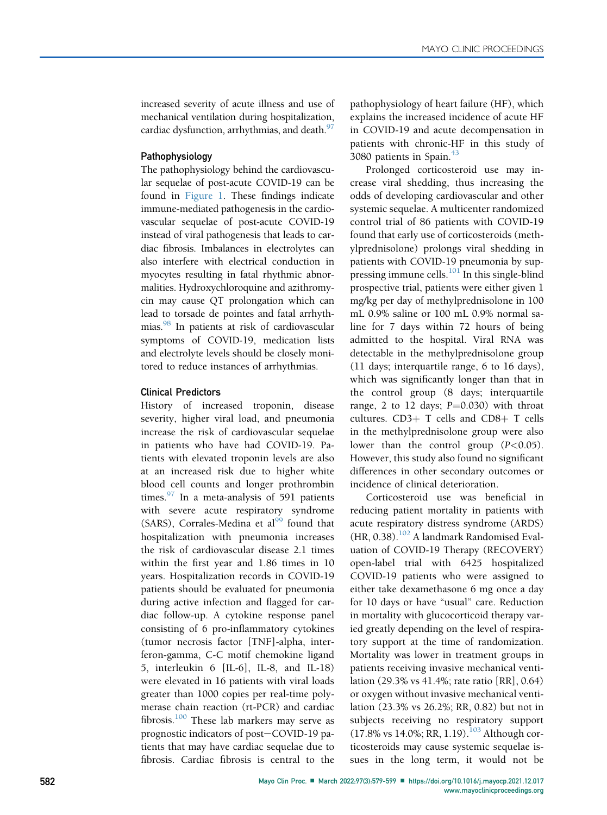increased severity of acute illness and use of mechanical ventilation during hospitalization, cardiac dysfunction, arrhythmias, and death. $97$ 

#### Pathophysiology

The pathophysiology behind the cardiovascular sequelae of post-acute COVID-19 can be found in [Figure 1.](#page-12-0) These findings indicate immune-mediated pathogenesis in the cardiovascular sequelae of post-acute COVID-19 instead of viral pathogenesis that leads to cardiac fibrosis. Imbalances in electrolytes can also interfere with electrical conduction in myocytes resulting in fatal rhythmic abnormalities. Hydroxychloroquine and azithromycin may cause QT prolongation which can lead to torsade de pointes and fatal arrhythmias.[98](#page-19-3) In patients at risk of cardiovascular symptoms of COVID-19, medication lists and electrolyte levels should be closely monitored to reduce instances of arrhythmias.

# Clinical Predictors

History of increased troponin, disease severity, higher viral load, and pneumonia increase the risk of cardiovascular sequelae in patients who have had COVID-19. Patients with elevated troponin levels are also at an increased risk due to higher white blood cell counts and longer prothrombin times. $97$  In a meta-analysis of 591 patients with severe acute respiratory syndrome (SARS), Corrales-Medina et al $^{99}$  $^{99}$  $^{99}$  found that hospitalization with pneumonia increases the risk of cardiovascular disease 2.1 times within the first year and 1.86 times in 10 years. Hospitalization records in COVID-19 patients should be evaluated for pneumonia during active infection and flagged for cardiac follow-up. A cytokine response panel consisting of 6 pro-inflammatory cytokines (tumor necrosis factor [TNF]-alpha, interferon-gamma, C-C motif chemokine ligand 5, interleukin 6 [IL-6], IL-8, and IL-18) were elevated in 16 patients with viral loads greater than 1000 copies per real-time polymerase chain reaction (rt-PCR) and cardiac fibrosis. $100$  These lab markers may serve as prognostic indicators of post-COVID-19 patients that may have cardiac sequelae due to fibrosis. Cardiac fibrosis is central to the pathophysiology of heart failure (HF), which explains the increased incidence of acute HF in COVID-19 and acute decompensation in patients with chronic-HF in this study of 3080 patients in Spain.<sup>[43](#page-18-4)</sup>

Prolonged corticosteroid use may increase viral shedding, thus increasing the odds of developing cardiovascular and other systemic sequelae. A multicenter randomized control trial of 86 patients with COVID-19 found that early use of corticosteroids (methylprednisolone) prolongs viral shedding in patients with COVID-19 pneumonia by suppressing immune cells. $101$  In this single-blind prospective trial, patients were either given 1 mg/kg per day of methylprednisolone in 100 mL 0.9% saline or 100 mL 0.9% normal saline for 7 days within 72 hours of being admitted to the hospital. Viral RNA was detectable in the methylprednisolone group (11 days; interquartile range, 6 to 16 days), which was significantly longer than that in the control group (8 days; interquartile range, 2 to 12 days;  $P=0.030$ ) with throat cultures.  $CD3+T$  cells and  $CD8+T$  cells in the methylprednisolone group were also lower than the control group  $(P<0.05)$ . However, this study also found no significant differences in other secondary outcomes or incidence of clinical deterioration.

Corticosteroid use was beneficial in reducing patient mortality in patients with acute respiratory distress syndrome (ARDS)  $(HR, 0.38).$ <sup>[102](#page-19-7)</sup> A landmark Randomised Evaluation of COVID-19 Therapy (RECOVERY) open-label trial with 6425 hospitalized COVID-19 patients who were assigned to either take dexamethasone 6 mg once a day for 10 days or have "usual" care. Reduction in mortality with glucocorticoid therapy varied greatly depending on the level of respiratory support at the time of randomization. Mortality was lower in treatment groups in patients receiving invasive mechanical ventilation (29.3% vs 41.4%; rate ratio [RR], 0.64) or oxygen without invasive mechanical ventilation (23.3% vs 26.2%; RR, 0.82) but not in subjects receiving no respiratory support  $(17.8\% \text{ vs } 14.0\%; RR, 1.19).$ <sup>[103](#page-19-8)</sup> Although corticosteroids may cause systemic sequelae issues in the long term, it would not be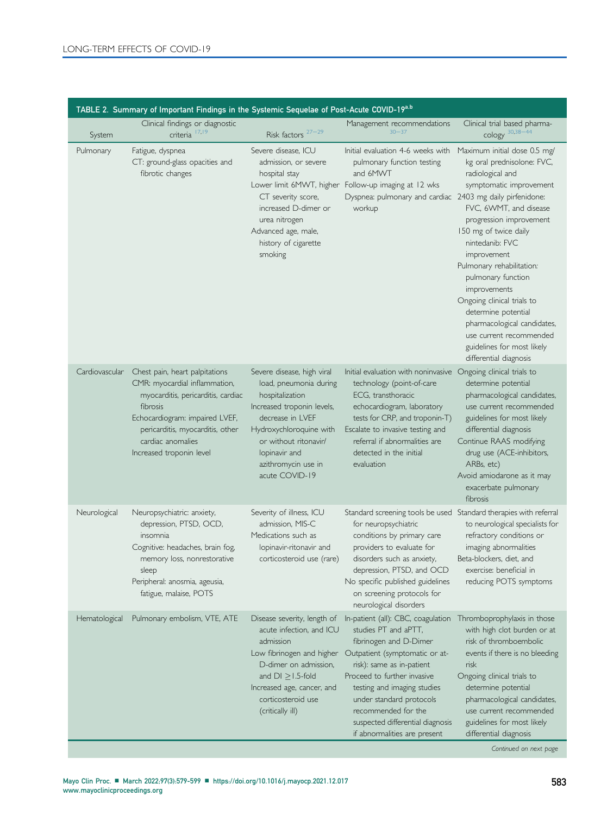<span id="page-4-0"></span>

|                | TABLE 2. Summary of Important Findings in the Systemic Sequelae of Post-Acute COVID-19 <sup>a,b</sup>                                                                                                                                    |                                                                                                                                                                                                                                         |                                                                                                                                                                                                                                                                                                                                          |                                                                                                                                                                                                                                                                                                                                                                                                                                                                     |
|----------------|------------------------------------------------------------------------------------------------------------------------------------------------------------------------------------------------------------------------------------------|-----------------------------------------------------------------------------------------------------------------------------------------------------------------------------------------------------------------------------------------|------------------------------------------------------------------------------------------------------------------------------------------------------------------------------------------------------------------------------------------------------------------------------------------------------------------------------------------|---------------------------------------------------------------------------------------------------------------------------------------------------------------------------------------------------------------------------------------------------------------------------------------------------------------------------------------------------------------------------------------------------------------------------------------------------------------------|
| System         | Clinical findings or diagnostic<br>criteria <sup>17,19</sup>                                                                                                                                                                             | Risk factors <sup>27-29</sup>                                                                                                                                                                                                           | Management recommendations<br>$30 - 37$                                                                                                                                                                                                                                                                                                  | Clinical trial based pharma-<br>cology $30,38 - 44$                                                                                                                                                                                                                                                                                                                                                                                                                 |
| Pulmonary      | Fatigue, dyspnea<br>CT: ground-glass opacities and<br>fibrotic changes                                                                                                                                                                   | Severe disease, ICU<br>admission, or severe<br>hospital stay<br>CT severity score,<br>increased D-dimer or<br>urea nitrogen<br>Advanced age, male,<br>history of cigarette<br>smoking                                                   | Initial evaluation 4-6 weeks with<br>pulmonary function testing<br>and 6MWT<br>Lower limit 6MWT, higher Follow-up imaging at 12 wks<br>Dyspnea: pulmonary and cardiac 2403 mg daily pirfenidone:<br>workup                                                                                                                               | Maximum initial dose 0.5 mg/<br>kg oral prednisolone: FVC,<br>radiological and<br>symptomatic improvement<br>FVC, 6WMT, and disease<br>progression improvement<br>150 mg of twice daily<br>nintedanib: FVC<br>improvement<br>Pulmonary rehabilitation:<br>pulmonary function<br>improvements<br>Ongoing clinical trials to<br>determine potential<br>pharmacological candidates,<br>use current recommended<br>guidelines for most likely<br>differential diagnosis |
| Cardiovascular | Chest pain, heart palpitations<br>CMR: myocardial inflammation,<br>myocarditis, pericarditis, cardiac<br>fibrosis<br>Echocardiogram: impaired LVEF,<br>pericarditis, myocarditis, other<br>cardiac anomalies<br>Increased troponin level | Severe disease, high viral<br>load, pneumonia during<br>hospitalization<br>Increased troponin levels,<br>decrease in LVEF<br>Hydroxychloroquine with<br>or without ritonavir/<br>lopinavir and<br>azithromycin use in<br>acute COVID-19 | Initial evaluation with noninvasive Ongoing clinical trials to<br>technology (point-of-care<br>ECG, transthoracic<br>echocardiogram, laboratory<br>tests for CRP, and troponin-T)<br>Escalate to invasive testing and<br>referral if abnormalities are<br>detected in the initial<br>evaluation                                          | determine potential<br>pharmacological candidates,<br>use current recommended<br>guidelines for most likely<br>differential diagnosis<br>Continue RAAS modifying<br>drug use (ACE-inhibitors,<br>ARBs, etc)<br>Avoid amiodarone as it may<br>exacerbate pulmonary<br>fibrosis                                                                                                                                                                                       |
| Neurological   | Neuropsychiatric: anxiety,<br>depression, PTSD, OCD,<br>insomnia<br>Cognitive: headaches, brain fog,<br>memory loss, nonrestorative<br>sleep<br>Peripheral: anosmia, ageusia,<br>fatigue, malaise, POTS                                  | Severity of illness, ICU<br>admission, MIS-C<br>Medications such as<br>lopinavir-ritonavir and<br>corticosteroid use (rare)                                                                                                             | Standard screening tools be used Standard therapies with referral<br>for neuropsychiatric<br>conditions by primary care<br>providers to evaluate for<br>disorders such as anxiety,<br>depression, PTSD, and OCD<br>No specific published guidelines<br>on screening protocols for<br>neurological disorders                              | to neurological specialists for<br>refractory conditions or<br>imaging abnormalities<br>Beta-blockers, diet, and<br>exercise: beneficial in<br>reducing POTS symptoms                                                                                                                                                                                                                                                                                               |
| Hematological  | Pulmonary embolism, VTE, ATE                                                                                                                                                                                                             | Disease severity, length of<br>acute infection, and ICU<br>admission<br>Low fibrinogen and higher<br>D-dimer on admission,<br>and $DI \geq I.5$ -fold<br>Increased age, cancer, and<br>corticosteroid use<br>(critically ill)           | In-patient (all): CBC, coagulation<br>studies PT and aPTT,<br>fibrinogen and D-Dimer<br>Outpatient (symptomatic or at-<br>risk): same as in-patient<br>Proceed to further invasive<br>testing and imaging studies<br>under standard protocols<br>recommended for the<br>suspected differential diagnosis<br>if abnormalities are present | Thromboprophylaxis in those<br>with high clot burden or at<br>risk of thromboembolic<br>events if there is no bleeding<br>risk<br>Ongoing clinical trials to<br>determine potential<br>pharmacological candidates,<br>use current recommended<br>guidelines for most likely<br>differential diagnosis<br>Continued on next page                                                                                                                                     |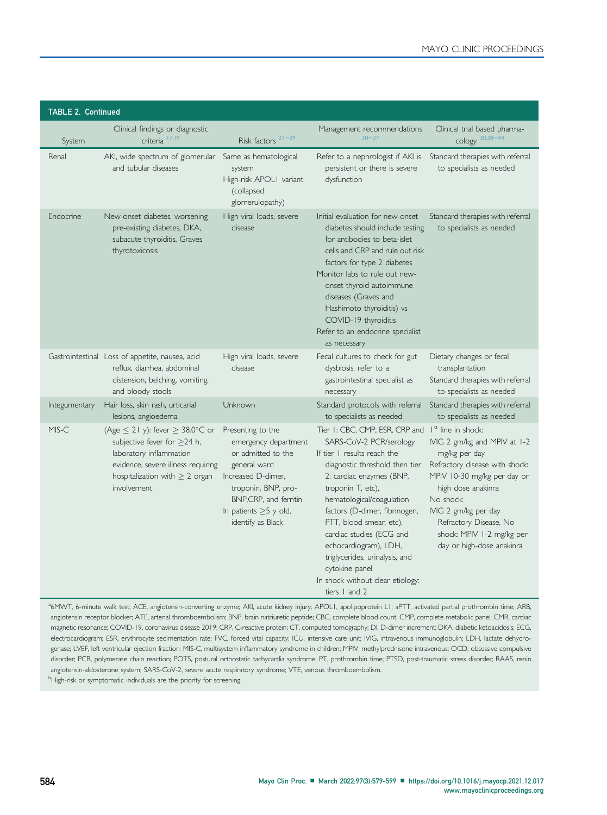| <b>TABLE 2. Continued</b> |                                                                                                                                                                                                       |                                                                                                                                                                                                            |                                                                                                                                                                                                                                                                                                                                                                                                                                    |                                                                                                                                                                                                                                                                                       |
|---------------------------|-------------------------------------------------------------------------------------------------------------------------------------------------------------------------------------------------------|------------------------------------------------------------------------------------------------------------------------------------------------------------------------------------------------------------|------------------------------------------------------------------------------------------------------------------------------------------------------------------------------------------------------------------------------------------------------------------------------------------------------------------------------------------------------------------------------------------------------------------------------------|---------------------------------------------------------------------------------------------------------------------------------------------------------------------------------------------------------------------------------------------------------------------------------------|
| System                    | Clinical findings or diagnostic<br>criteria <sup>17,19</sup>                                                                                                                                          | Risk factors <sup>27-29</sup>                                                                                                                                                                              | Management recommendations<br>$30 - 37$                                                                                                                                                                                                                                                                                                                                                                                            | Clinical trial based pharma-<br>cology $30,38-44$                                                                                                                                                                                                                                     |
| Renal                     | AKI, wide spectrum of glomerular Same as hematological<br>and tubular diseases                                                                                                                        | system<br>High-risk APOLI variant<br>(collapsed<br>glomerulopathy)                                                                                                                                         | Refer to a nephrologist if AKI is<br>persistent or there is severe<br>dysfunction                                                                                                                                                                                                                                                                                                                                                  | Standard therapies with referral<br>to specialists as needed                                                                                                                                                                                                                          |
| Endocrine                 | New-onset diabetes, worsening<br>pre-existing diabetes, DKA,<br>subacute thyroiditis, Graves<br>thyrotoxicosis                                                                                        | High viral loads, severe<br>disease                                                                                                                                                                        | Initial evaluation for new-onset<br>diabetes should include testing<br>for antibodies to beta-islet<br>cells and CRP and rule out risk<br>factors for type 2 diabetes<br>Monitor labs to rule out new-<br>onset thyroid autoimmune<br>diseases (Graves and<br>Hashimoto thyroiditis) vs<br>COVID-19 thyroiditis<br>Refer to an endocrine specialist<br>as necessary                                                                | Standard therapies with referral<br>to specialists as needed                                                                                                                                                                                                                          |
|                           | Gastrointestinal Loss of appetite, nausea, acid<br>reflux, diarrhea, abdominal<br>distension, belching, vomiting,<br>and bloody stools                                                                | High viral loads, severe<br>disease                                                                                                                                                                        | Fecal cultures to check for gut<br>dysbiosis, refer to a<br>gastrointestinal specialist as<br>necessary                                                                                                                                                                                                                                                                                                                            | Dietary changes or fecal<br>transplantation<br>Standard therapies with referral<br>to specialists as needed                                                                                                                                                                           |
| Integumentary             | Hair loss, skin rash, urticarial<br>lesions, angioedema                                                                                                                                               | Unknown                                                                                                                                                                                                    | Standard protocols with referral<br>to specialists as needed                                                                                                                                                                                                                                                                                                                                                                       | Standard therapies with referral<br>to specialists as needed                                                                                                                                                                                                                          |
| MIS-C                     | (Age $\leq$ 21 y): fever $\geq$ 38.0°C or<br>subjective fever for $\geq$ 24 h,<br>laboratory inflammation<br>evidence, severe illness requiring<br>hospitalization with $\geq 2$ organ<br>involvement | Presenting to the<br>emergency department<br>or admitted to the<br>general ward<br>Increased D-dimer,<br>troponin, BNP, pro-<br>BNP, CRP, and ferritin<br>In patients $\geq$ 5 y old,<br>identify as Black | Tier I: CBC, CMP, ESR, CRP and<br>SARS-CoV-2 PCR/serology<br>If tier I results reach the<br>diagnostic threshold then tier<br>2: cardiac enzymes (BNP,<br>troponin T, etc),<br>hematological/coagulation<br>factors (D-dimer, fibrinogen,<br>PTT, blood smear, etc),<br>cardiac studies (ECG and<br>echocardiogram), LDH,<br>triglycerides, urinalysis, and<br>cytokine panel<br>In shock without clear etiology:<br>tiers 1 and 2 | $Ist$ line in shock:<br>IVIG 2 gm/kg and MPIV at 1-2<br>mg/kg per day<br>Refractory disease with shock:<br>MPIV 10-30 mg/kg per day or<br>high dose anakinra<br>No shock:<br>IVIG 2 gm/kg per day<br>Refractory Disease, No<br>shock: MPIV 1-2 mg/kg per<br>day or high-dose anakinra |

<span id="page-5-0"></span><sup>a</sup>6MWT, 6-minute walk test; ACE, angiotensin-converting enzyme; AKI, acute kidney injury; APOLI, apolipoprotein LI; aPTT, activated partial prothrombin time; ARB, angiotensin receptor blocker; ATE, arterial thromboembolism; BNP, brain natriuretic peptide; CBC, complete blood count; CMP, complete metabolic panel; CMR, cardiac magnetic resonance; COVID-19, coronavirus disease 2019; CRP, C-reactive protein; CT, computed tomography; DI, D-dimer increment; DKA, diabetic ketoacidosis; ECG, electrocardiogram; ESR, erythrocyte sedimentation rate; FVC, forced vital capacity; ICU, intensive care unit; IVIG, intravenous immunoglobulin; LDH, lactate dehydrogenase; LVEF, left ventricular ejection fraction; MIS-C, multisystem inflammatory syndrome in children; MPIV, methylprednisone intravenous; OCD, obsessive compulsive disorder; PCR, polymerase chain reaction; POTS, postural orthostatic tachycardia syndrome; PT, prothrombin time; PTSD, post-traumatic stress disorder; RAAS, renin angiotensin-aldosterone system; SARS-CoV-2, severe acute respiratory syndrome; VTE, venous thromboembolism.

<span id="page-5-1"></span><sup>b</sup>High-risk or symptomatic individuals are the priority for screening.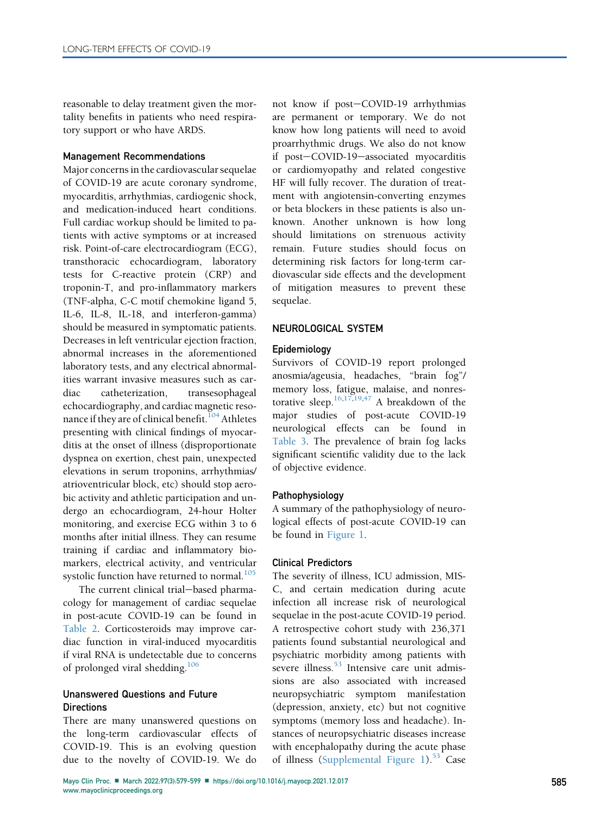reasonable to delay treatment given the mortality benefits in patients who need respiratory support or who have ARDS.

#### Management Recommendations

Major concerns in the cardiovascular sequelae of COVID-19 are acute coronary syndrome, myocarditis, arrhythmias, cardiogenic shock, and medication-induced heart conditions. Full cardiac workup should be limited to patients with active symptoms or at increased risk. Point-of-care electrocardiogram (ECG), transthoracic echocardiogram, laboratory tests for C-reactive protein (CRP) and troponin-T, and pro-inflammatory markers (TNF-alpha, C-C motif chemokine ligand 5, IL-6, IL-8, IL-18, and interferon-gamma) should be measured in symptomatic patients. Decreases in left ventricular ejection fraction, abnormal increases in the aforementioned laboratory tests, and any electrical abnormalities warrant invasive measures such as cardiac catheterization, transesophageal echocardiography, and cardiac magnetic reso-nance if they are of clinical benefit.<sup>[104](#page-19-9)</sup> Athletes presenting with clinical findings of myocarditis at the onset of illness (disproportionate dyspnea on exertion, chest pain, unexpected elevations in serum troponins, arrhythmias/ atrioventricular block, etc) should stop aerobic activity and athletic participation and undergo an echocardiogram, 24-hour Holter monitoring, and exercise ECG within 3 to 6 months after initial illness. They can resume training if cardiac and inflammatory biomarkers, electrical activity, and ventricular systolic function have returned to normal.<sup>[105](#page-19-10)</sup>

The current clinical trial-based pharmacology for management of cardiac sequelae in post-acute COVID-19 can be found in [Table 2](#page-4-0). Corticosteroids may improve cardiac function in viral-induced myocarditis if viral RNA is undetectable due to concerns of prolonged viral shedding.<sup>[106](#page-19-11)</sup>

# Unanswered Questions and Future **Directions**

There are many unanswered questions on the long-term cardiovascular effects of COVID-19. This is an evolving question due to the novelty of COVID-19. We do

not know if post-COVID-19 arrhythmias are permanent or temporary. We do not know how long patients will need to avoid proarrhythmic drugs. We also do not know if post-COVID-19-associated myocarditis or cardiomyopathy and related congestive HF will fully recover. The duration of treatment with angiotensin-converting enzymes or beta blockers in these patients is also unknown. Another unknown is how long should limitations on strenuous activity remain. Future studies should focus on determining risk factors for long-term cardiovascular side effects and the development of mitigation measures to prevent these sequelae.

#### NEUROLOGICAL SYSTEM

#### Epidemiology

Survivors of COVID-19 report prolonged anosmia/ageusia, headaches, "brain fog"/ memory loss, fatigue, malaise, and nonres-torative sleep.<sup>[16](#page-17-6)[,17,](#page-17-3)[19](#page-17-7)[,47](#page-18-0)</sup> A breakdown of the major studies of post-acute COVID-19 neurological effects can be found in [Table 3.](#page-7-0) The prevalence of brain fog lacks significant scientific validity due to the lack of objective evidence.

# Pathophysiology

A summary of the pathophysiology of neurological effects of post-acute COVID-19 can be found in [Figure 1.](#page-12-0)

# Clinical Predictors

The severity of illness, ICU admission, MIS-C, and certain medication during acute infection all increase risk of neurological sequelae in the post-acute COVID-19 period. A retrospective cohort study with 236,371 patients found substantial neurological and psychiatric morbidity among patients with severe illness.<sup>[53](#page-18-5)</sup> Intensive care unit admissions are also associated with increased neuropsychiatric symptom manifestation (depression, anxiety, etc) but not cognitive symptoms (memory loss and headache). Instances of neuropsychiatric diseases increase with encephalopathy during the acute phase of illness (Supplemental Figure 1).<sup>[53](#page-18-5)</sup> Case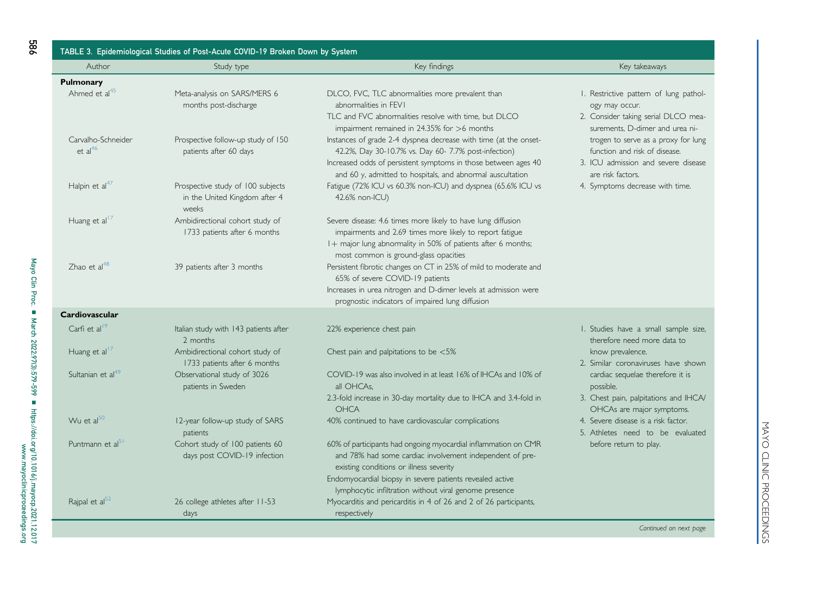|                                           | TABLE 3. Epidemiological Studies of Post-Acute COVID-19 Broken Down by System |                                                                                                                                                                                                                                                          |                                                                                                                                    |
|-------------------------------------------|-------------------------------------------------------------------------------|----------------------------------------------------------------------------------------------------------------------------------------------------------------------------------------------------------------------------------------------------------|------------------------------------------------------------------------------------------------------------------------------------|
| Author                                    | Study type                                                                    | Key findings                                                                                                                                                                                                                                             | Key takeaways                                                                                                                      |
| <b>Pulmonary</b>                          |                                                                               |                                                                                                                                                                                                                                                          |                                                                                                                                    |
| Ahmed et al <sup>45</sup>                 | Meta-analysis on SARS/MERS 6<br>months post-discharge                         | DLCO, FVC, TLC abnormalities more prevalent than<br>abnormalities in FEVI<br>TLC and FVC abnormalities resolve with time, but DLCO<br>impairment remained in $24.35\%$ for $>6$ months                                                                   | I. Restrictive pattern of lung pathol-<br>ogy may occur.<br>2. Consider taking serial DLCO mea-<br>surements, D-dimer and urea ni- |
| Carvalho-Schneider<br>et al <sup>46</sup> | Prospective follow-up study of 150<br>patients after 60 days                  | Instances of grade 2-4 dyspnea decrease with time (at the onset-<br>42.2%, Day 30-10.7% vs. Day 60- 7.7% post-infection)<br>Increased odds of persistent symptoms in those between ages 40<br>and 60 y, admitted to hospitals, and abnormal auscultation | trogen to serve as a proxy for lung<br>function and risk of disease.<br>3. ICU admission and severe disease<br>are risk factors.   |
| Halpin et al <sup>47</sup>                | Prospective study of 100 subjects<br>in the United Kingdom after 4<br>weeks   | Fatigue (72% ICU vs 60.3% non-ICU) and dyspnea (65.6% ICU vs<br>42.6% non-ICU)                                                                                                                                                                           | 4. Symptoms decrease with time.                                                                                                    |
| Huang et al <sup>17</sup>                 | Ambidirectional cohort study of<br>1733 patients after 6 months               | Severe disease: 4.6 times more likely to have lung diffusion<br>impairments and 2.69 times more likely to report fatigue<br>I+ major lung abnormality in 50% of patients after 6 months;<br>most common is ground-glass opacities                        |                                                                                                                                    |
| $Z$ hao et al $48$                        | 39 patients after 3 months                                                    | Persistent fibrotic changes on CT in 25% of mild to moderate and<br>65% of severe COVID-19 patients<br>Increases in urea nitrogen and D-dimer levels at admission were<br>prognostic indicators of impaired lung diffusion                               |                                                                                                                                    |
| Cardiovascular                            |                                                                               |                                                                                                                                                                                                                                                          |                                                                                                                                    |
| Carfi et al $ 9$                          | Italian study with 143 patients after<br>2 months                             | 22% experience chest pain                                                                                                                                                                                                                                | I. Studies have a small sample size,<br>therefore need more data to                                                                |
| Huang et al <sup>17</sup>                 | Ambidirectional cohort study of<br>1733 patients after 6 months               | Chest pain and palpitations to be $<$ 5%                                                                                                                                                                                                                 | know prevalence.<br>2. Similar coronaviruses have shown                                                                            |
| Sultanian et al <sup>49</sup>             | Observational study of 3026<br>patients in Sweden                             | COVID-19 was also involved in at least 16% of IHCAs and 10% of<br>all OHCAs,                                                                                                                                                                             | cardiac sequelae therefore it is<br>possible.                                                                                      |
|                                           |                                                                               | 2.3-fold increase in 30-day mortality due to IHCA and 3.4-fold in<br><b>OHCA</b>                                                                                                                                                                         | 3. Chest pain, palpitations and IHCA/<br>OHCAs are major symptoms.                                                                 |
| Wu et al <sup>50</sup>                    | 12-year follow-up study of SARS<br>patients                                   | 40% continued to have cardiovascular complications                                                                                                                                                                                                       | 4. Severe disease is a risk factor.<br>5. Athletes need to be evaluated                                                            |
| Puntmann et al <sup>51</sup>              | Cohort study of 100 patients 60<br>days post COVID-19 infection               | 60% of participants had ongoing myocardial inflammation on CMR<br>and 78% had some cardiac involvement independent of pre-<br>existing conditions or illness severity                                                                                    | before return to play.                                                                                                             |
|                                           |                                                                               | Endomyocardial biopsy in severe patients revealed active<br>lymphocytic infiltration without viral genome presence                                                                                                                                       |                                                                                                                                    |
| Rajpal et al <sup>52</sup>                | 26 college athletes after 11-53<br>days                                       | Myocarditis and pericarditis in 4 of 26 and 2 of 26 participants,<br>respectively                                                                                                                                                                        |                                                                                                                                    |

<span id="page-7-0"></span>586

Continued on next page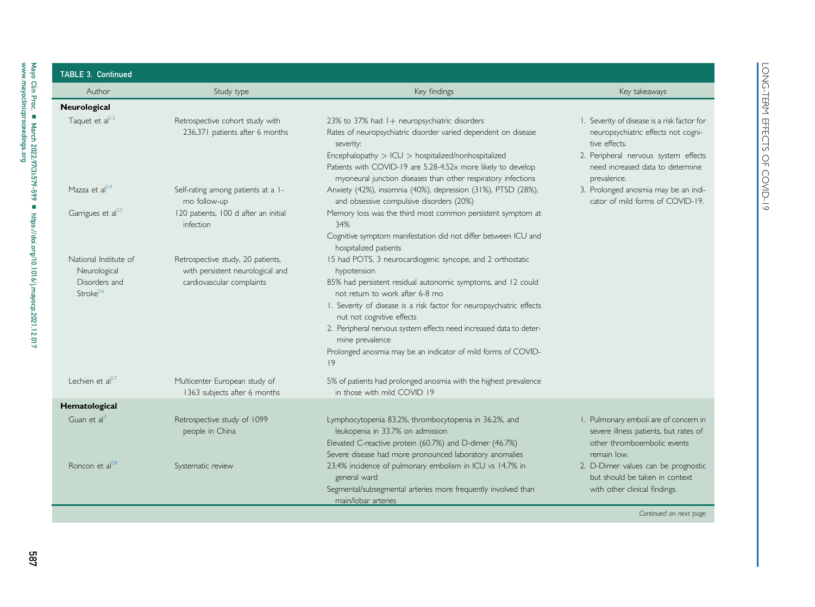#### TABLE 3. ContinuedAuthor Study type Study type Study type Study to the Study of the Study of the Study of the Study type Study type Study type Study to the Key findings Key findings Study type Study to the Study of the Study of the Study of Neurological Taquet et  $a^{53}$  $a^{53}$  $a^{53}$  Retrospective cohort study with 236,371 patients after 6 months 23% to 37% had 1 þ neuropsychiatric disorders Rates of neuropsychiatric disorder varied dependent on disease severity: Encephalopathy > ICU > hospitalized/nonhospitalized Patients with COVID-19 are 5.28-4.52x more likely to develop myoneural junction diseases than other respiratory infections 1. Severity of disease is <sup>a</sup> risk factor for neuropsychiatric effects not cognitive effects.2. Peripheral nervous system effects need increased data to determine prevalence. 3. Prolonged anosmia may be an indicator of mild forms of COVID-19.Mazza et al<sup>[54](#page-18-15)</sup> Self-rating among patients at a 1-<br>mo follow-up Anxiety (42%), insomnia (40%), depression (31%), PTSD (28%), and obsessive compulsive disorders (20%) Garrigues et al $^{55}$  $^{55}$  $^{55}$  120 patients, 100 d after an initial infectionMemory loss was the third most common persistent symptom at 34%Cognitive symptom manifestation did not differ between ICU and hospitalized patients National Institute of**Neurological** Disorders andStroke<sup>[56](#page-18-17)</sup> Retrospective study, 20 patients, with persistent neurological and cardiovascular complaints 15 had POTS, 3 neurocardiogenic syncope, and 2 orthostatic hypotension 85% had persistent residual autonomic symptoms, and 12 could not return to work after 6-8 mo1. Severity of disease is <sup>a</sup> risk factor for neuropsychiatric effects nut not cognitive effects 2. Peripheral nervous system effects need increased data to determine prevalence Prolonged anosmia may be an indicator of mild forms of COVID-19Lechien et  $a^{57}$  $a^{57}$  $a^{57}$  Multicenter European study of 1363 subjects after 6 months 5% of patients had prolonged anosmia with the highest prevalence in those with mild COVID 19Hematological Guan et  $al<sup>3</sup>$  $al<sup>3</sup>$  $al<sup>3</sup>$  Retrospective study of 1099 people in China Lymphocytopenia 83.2%, thrombocytopenia in 36.2%, and leukopenia in 33.7% on admission Elevated C-reactive protein (60.7%) and D-dimer (46.7%) Severe disease had more pronounced laboratory anomalies 1. Pulmonary emboli are of concern in severe illness patients, but rates of other thromboembolic eventsremain low.2. D-Dimer values can be prognostic but should be taken in context with other clinical findings. Roncon et al<sup>[58](#page-18-19)</sup> Systematic review 23.4% incidence of pulmonary embolism in ICU vs 14.7% in general ward Segmental/subsegmental arteries more frequently involved than main/lobar arteries Continued on next page

Mayo Clin Proc. n March 2022;97(3):579-599 n <https://doi.org/10.1016/j.mayocp.2021.12.017> [www.mayoclinicproceedings.org](http://www.mayoclinicproceedings.org)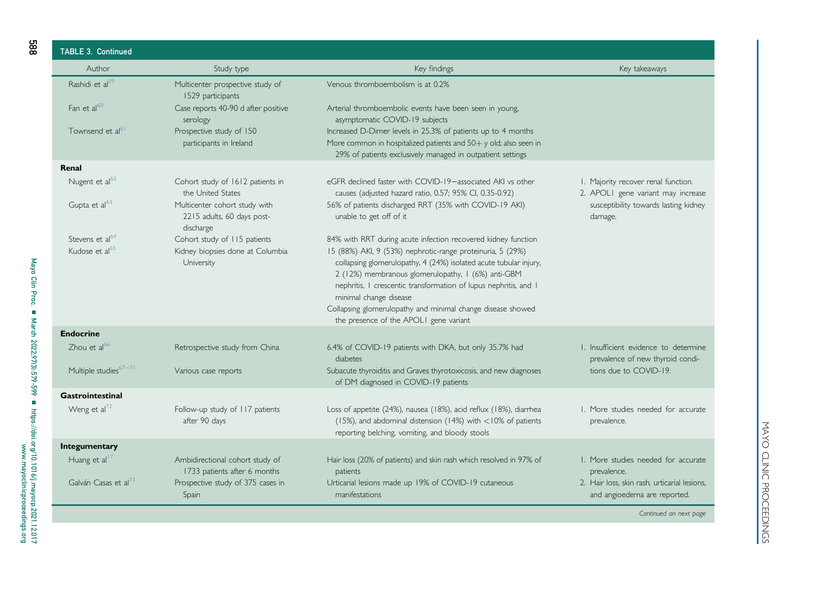| <b>TABLE 3. Continued</b>                               |                                                                                        |                                                                                                                                                                                                                                                                                                                                                                                              |                                                                                                                    |
|---------------------------------------------------------|----------------------------------------------------------------------------------------|----------------------------------------------------------------------------------------------------------------------------------------------------------------------------------------------------------------------------------------------------------------------------------------------------------------------------------------------------------------------------------------------|--------------------------------------------------------------------------------------------------------------------|
| Author                                                  | Study type                                                                             | Key findings                                                                                                                                                                                                                                                                                                                                                                                 | Key takeaways                                                                                                      |
| Rashidi et al <sup>59</sup>                             | Multicenter prospective study of<br>1529 participants                                  | Venous thromboembolism is at 0.2%                                                                                                                                                                                                                                                                                                                                                            |                                                                                                                    |
| Fan et al <sup>60</sup>                                 | Case reports 40-90 d after positive<br>serology                                        | Arterial thromboembolic events have been seen in young,<br>asymptomatic COVID-19 subjects                                                                                                                                                                                                                                                                                                    |                                                                                                                    |
| Townsend et al <sup>61</sup>                            | Prospective study of 150<br>participants in Ireland                                    | Increased D-Dimer levels in 25.3% of patients up to 4 months<br>More common in hospitalized patients and 50+ y old; also seen in<br>29% of patients exclusively managed in outpatient settings                                                                                                                                                                                               |                                                                                                                    |
| Renal                                                   |                                                                                        |                                                                                                                                                                                                                                                                                                                                                                                              |                                                                                                                    |
| Nugent et al <sup>62</sup><br>Gupta et al <sup>63</sup> | Cohort study of 1612 patients in<br>the United States<br>Multicenter cohort study with | eGFR declined faster with COVID-19-associated AKI vs other<br>causes (adjusted hazard ratio, 0.57; 95% CI, 0.35-0.92)<br>56% of patients discharged RRT (35% with COVID-19 AKI)                                                                                                                                                                                                              | 1. Majority recover renal function.<br>2. APOLI gene variant may increase<br>susceptibility towards lasting kidney |
|                                                         | 2215 adults, 60 days post-<br>discharge                                                | unable to get off of it                                                                                                                                                                                                                                                                                                                                                                      | damage.                                                                                                            |
| Stevens et al <sup>64</sup>                             | Cohort study of 115 patients                                                           | 84% with RRT during acute infection recovered kidney function                                                                                                                                                                                                                                                                                                                                |                                                                                                                    |
| Kudose et al <sup>65</sup>                              | Kidney biopsies done at Columbia<br>University                                         | 15 (88%) AKI, 9 (53%) nephrotic-range proteinuria, 5 (29%)<br>collapsing glomerulopathy, 4 (24%) isolated acute tubular injury,<br>2 (12%) membranous glomerulopathy, 1 (6%) anti-GBM<br>nephritis, I crescentic transformation of lupus nephritis, and I<br>minimal change disease<br>Collapsing glomerulopathy and minimal change disease showed<br>the presence of the APOLI gene variant |                                                                                                                    |
| <b>Endocrine</b>                                        |                                                                                        |                                                                                                                                                                                                                                                                                                                                                                                              |                                                                                                                    |
| $Z$ hou et al $66$                                      | Retrospective study from China                                                         | 6.4% of COVID-19 patients with DKA, but only 35.7% had<br>diabetes                                                                                                                                                                                                                                                                                                                           | 1. Insufficient evidence to determine<br>prevalence of new thyroid condi-                                          |
| Multiple studies <sup>67-71</sup>                       | Various case reports                                                                   | Subacute thyroiditis and Graves thyrotoxicosis, and new diagnoses<br>of DM diagnosed in COVID-19 patients                                                                                                                                                                                                                                                                                    | tions due to COVID-19.                                                                                             |
| <b>Gastrointestinal</b>                                 |                                                                                        |                                                                                                                                                                                                                                                                                                                                                                                              |                                                                                                                    |
| Weng et $al^{72}$                                       | Follow-up study of 117 patients<br>after 90 days                                       | Loss of appetite (24%), nausea (18%), acid reflux (18%), diarrhea<br>(15%), and abdominal distension (14%) with $<$ 10% of patients<br>reporting belching, vomiting, and bloody stools                                                                                                                                                                                                       | 1. More studies needed for accurate<br>prevalence.                                                                 |
| Integumentary                                           |                                                                                        |                                                                                                                                                                                                                                                                                                                                                                                              |                                                                                                                    |
| Huang et al <sup>17</sup>                               | Ambidirectional cohort study of<br>1733 patients after 6 months                        | Hair loss (20% of patients) and skin rash which resolved in 97% of<br>patients                                                                                                                                                                                                                                                                                                               | 1. More studies needed for accurate<br>prevalence.                                                                 |
| Galván Casas et al <sup>73</sup>                        | Prospective study of 375 cases in<br>Spain                                             | Urticarial lesions made up 19% of COVID-19 cutaneous<br>manifestations                                                                                                                                                                                                                                                                                                                       | 2. Hair loss, skin rash, urticarial lesions,<br>and angioedema are reported.                                       |
|                                                         |                                                                                        |                                                                                                                                                                                                                                                                                                                                                                                              | Continued on next page                                                                                             |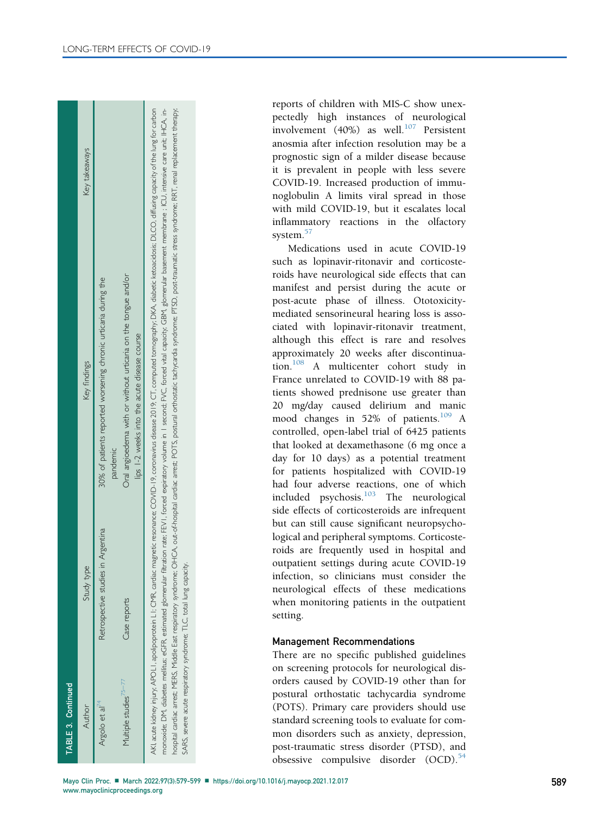| TABLE 3. Continued                |                                    |                                                                                                                                                                                                                              |  |
|-----------------------------------|------------------------------------|------------------------------------------------------------------------------------------------------------------------------------------------------------------------------------------------------------------------------|--|
| Author                            | <b>De</b><br>Study t               | Key takeaways<br>Key findings                                                                                                                                                                                                |  |
| Argolo et al <sup>/4</sup>        | Retrospective studies in Argentina | 30% of patients reported worsening chronic urticana during the                                                                                                                                                               |  |
|                                   |                                    | pandemic                                                                                                                                                                                                                     |  |
| Multiple studies <sup>75-77</sup> | Case reports                       | Oral angioedema with or without urticaria on the tongue and/or                                                                                                                                                               |  |
|                                   |                                    | lips 1-2 weeks into the acute disease course                                                                                                                                                                                 |  |
|                                   |                                    | AKI, acute kidney injury; APOLI , apolipoprotein LI ; CMR, cardiac magnetic resonance COVID-19, comons disease 2019; CT, computed tomography; DKA, diabetic ketoacidosis; DLCO, diffusing capacity of the lung for carbon    |  |
|                                   |                                    | monoxide; DM, diabetes mellitus; eGFR, estimated glomerular filtration rate; FEVI, forced expiratory volume in I second; FVC, forced vital capacity; GBM, glomerular basement membrane ; ICU, intensive care unit; IHCA, in- |  |

monoxide; DM, diabetes mellitus; eGFR, estimated glomerular filtration rate; FEV1, forced expiratory volume in 1 second; FVC, forced vital capacity; GBM, glomerular basement membrane ; ICU, intensive care unit; IHCA, inhospital cardiac arrest; MERS, Middle East respiratory syndrome; OHCA, out-of-hospital cardiac arrest; POTS, postural orthostatic tachycardia syndrome; PTSD, post-traumatic stress syndrome; RRT, renal replacement therapy;

hospital cardiac arrest; MEdle East respiratory syndrome; OHCA, out-of-hospital cardiac arrest; POTS, postural orthostatic tachycardia syndrome; PTSD, post-traumatic stress syndrome; RRT, renal replacement therapy;

reports of children with MIS-C show unexpectedly high instances of neurological involvement (40%) as well.<sup>[107](#page-19-14)</sup> Persistent anosmia after infection resolution may be a prognostic sign of a milder disease because it is prevalent in people with less severe COVID-19. Increased production of immunoglobulin A limits viral spread in those with mild COVID-19, but it escalates local inflammatory reactions in the olfactory system.<sup>[57](#page-18-29)</sup>

Medications used in acute COVID-19 such as lopinavir-ritonavir and corticosteroids have neurological side effects that can manifest and persist during the acute or post-acute phase of illness. Ototoxicitymediated sensorineural hearing loss is associated with lopinavir-ritonavir treatment, although this effect is rare and resolves approximately 20 weeks after discontinua-tion.<sup>[108](#page-19-15)</sup> A multicenter cohort study in France unrelated to COVID-19 with 88 patients showed prednisone use greater than 20 mg/day caused delirium and manic mood changes in 52% of patients.<sup>[109](#page-19-16)</sup> A controlled, open-label trial of 6425 patients that looked at dexamethasone (6 mg once a day for 10 days) as a potential treatment for patients hospitalized with COVID-19 had four adverse reactions, one of which included psychosis. $103$  The neurological side effects of corticosteroids are infrequent but can still cause significant neuropsychological and peripheral symptoms. Corticosteroids are frequently used in hospital and outpatient settings during acute COVID-19 infection, so clinicians must consider the neurological effects of these medications when monitoring patients in the outpatient setting.

### Management Recommendations

There are no specific published guidelines on screening protocols for neurological disorders caused by COVID-19 other than for postural orthostatic tachycardia syndrome (POTS). Primary care providers should use standard screening tools to evaluate for common disorders such as anxiety, depression, post-traumatic stress disorder (PTSD), and obsessive compulsive disorder  $(OCD)$ .<sup>[54](#page-18-30)</sup>

SARS, severe acute respiratory syndrome; TLC, total lung capacity.

severe acute respiratory syndrome; TLC, total

SARS,

lung capacity.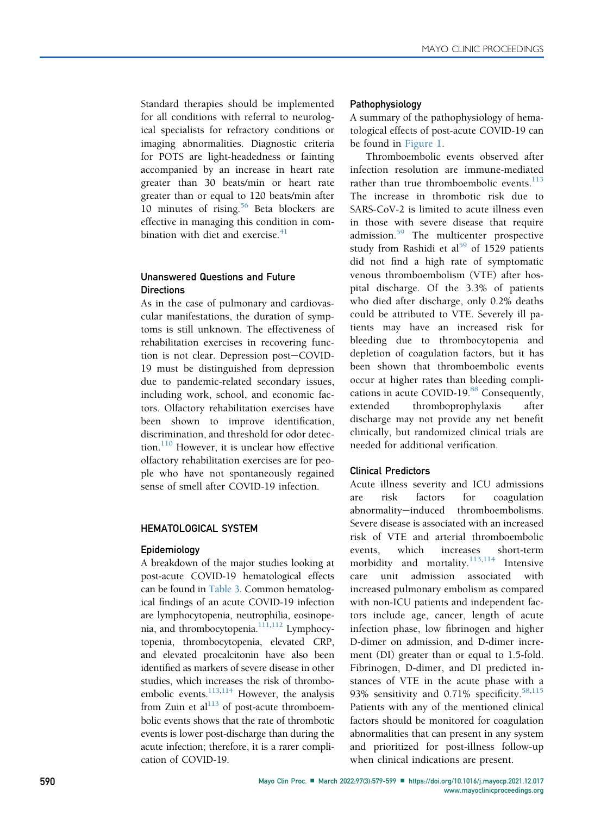Standard therapies should be implemented for all conditions with referral to neurological specialists for refractory conditions or imaging abnormalities. Diagnostic criteria for POTS are light-headedness or fainting accompanied by an increase in heart rate greater than 30 beats/min or heart rate greater than or equal to 120 beats/min after 10 minutes of rising.<sup>[56](#page-18-31)</sup> Beta blockers are effective in managing this condition in combination with diet and exercise. $41$ 

# Unanswered Questions and Future **Directions**

As in the case of pulmonary and cardiovascular manifestations, the duration of symptoms is still unknown. The effectiveness of rehabilitation exercises in recovering function is not clear. Depression post-COVID-19 must be distinguished from depression due to pandemic-related secondary issues, including work, school, and economic factors. Olfactory rehabilitation exercises have been shown to improve identification, discrimination, and threshold for odor detection. $110$  However, it is unclear how effective olfactory rehabilitation exercises are for people who have not spontaneously regained sense of smell after COVID-19 infection.

# HEMATOLOGICAL SYSTEM

#### Epidemiology

A breakdown of the major studies looking at post-acute COVID-19 hematological effects can be found in [Table 3](#page-7-0). Common hematological findings of an acute COVID-19 infection are lymphocytopenia, neutrophilia, eosinopenia, and thrombocytopenia[.111,](#page-20-0)[112](#page-20-1) Lymphocytopenia, thrombocytopenia, elevated CRP, and elevated procalcitonin have also been identified as markers of severe disease in other studies, which increases the risk of thrombo-embolic events.<sup>113[,114](#page-20-3)</sup> However, the analysis from Zuin et  $al<sup>113</sup>$  of post-acute thromboembolic events shows that the rate of thrombotic events is lower post-discharge than during the acute infection; therefore, it is a rarer complication of COVID-19.

#### Pathophysiology

A summary of the pathophysiology of hematological effects of post-acute COVID-19 can be found in [Figure 1.](#page-12-0)

Thromboembolic events observed after infection resolution are immune-mediated rather than true thromboembolic events.<sup>[113](#page-20-2)</sup> The increase in thrombotic risk due to SARS-CoV-2 is limited to acute illness even in those with severe disease that require admission. $59$  The multicenter prospective study from Rashidi et al<sup>[59](#page-18-33)</sup> of 1529 patients did not find a high rate of symptomatic venous thromboembolism (VTE) after hospital discharge. Of the 3.3% of patients who died after discharge, only 0.2% deaths could be attributed to VTE. Severely ill patients may have an increased risk for bleeding due to thrombocytopenia and depletion of coagulation factors, but it has been shown that thromboembolic events occur at higher rates than bleeding compli-cations in acute COVID-19.<sup>[88](#page-19-20)</sup> Consequently, extended thromboprophylaxis after discharge may not provide any net benefit clinically, but randomized clinical trials are needed for additional verification.

# Clinical Predictors

Acute illness severity and ICU admissions are risk factors for coagulation abnormality-induced thromboembolisms. Severe disease is associated with an increased risk of VTE and arterial thromboembolic events, which increases short-term morbidity and mortality. $\frac{113,114}{111}$  $\frac{113,114}{111}$  $\frac{113,114}{111}$  $\frac{113,114}{111}$  Intensive care unit admission associated with increased pulmonary embolism as compared with non-ICU patients and independent factors include age, cancer, length of acute infection phase, low fibrinogen and higher D-dimer on admission, and D-dimer increment (DI) greater than or equal to 1.5-fold. Fibrinogen, D-dimer, and DI predicted instances of VTE in the acute phase with a 93% sensitivity and 0.71% specificity.<sup>[58,](#page-18-34)[115](#page-20-4)</sup> Patients with any of the mentioned clinical factors should be monitored for coagulation abnormalities that can present in any system and prioritized for post-illness follow-up when clinical indications are present.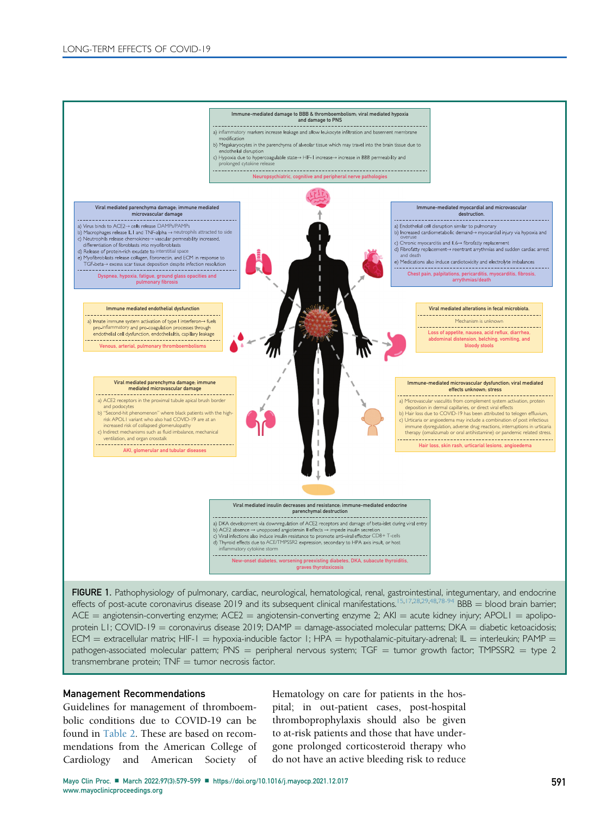<span id="page-12-0"></span>

 $ACE =$  angiotensin-converting enzyme;  $ACE2 =$  angiotensin-converting enzyme 2;  $AKI =$  acute kidney injury;  $APOLI =$  apolipoprotein L1; COVID-19 = coronavirus disease 2019; DAMP = damage-associated molecular patterns; DKA = diabetic ketoacidosis;  $ECM =$  extracellular matrix; HIF-1 = hypoxia-inducible factor 1; HPA = hypothalamic-pituitary-adrenal; IL = interleukin; PAMP = pathogen-associated molecular pattern;  $PNS =$  peripheral nervous system;  $TGF =$  tumor growth factor;  $TMPSSR2 =$  type 2 transmembrane protein;  $TNF =$  tumor necrosis factor.

# Management Recommendations

Guidelines for management of thromboembolic conditions due to COVID-19 can be found in [Table 2](#page-4-0). These are based on recommendations from the American College of Cardiology and American Society of Hematology on care for patients in the hospital; in out-patient cases, post-hospital thromboprophylaxis should also be given to at-risk patients and those that have undergone prolonged corticosteroid therapy who do not have an active bleeding risk to reduce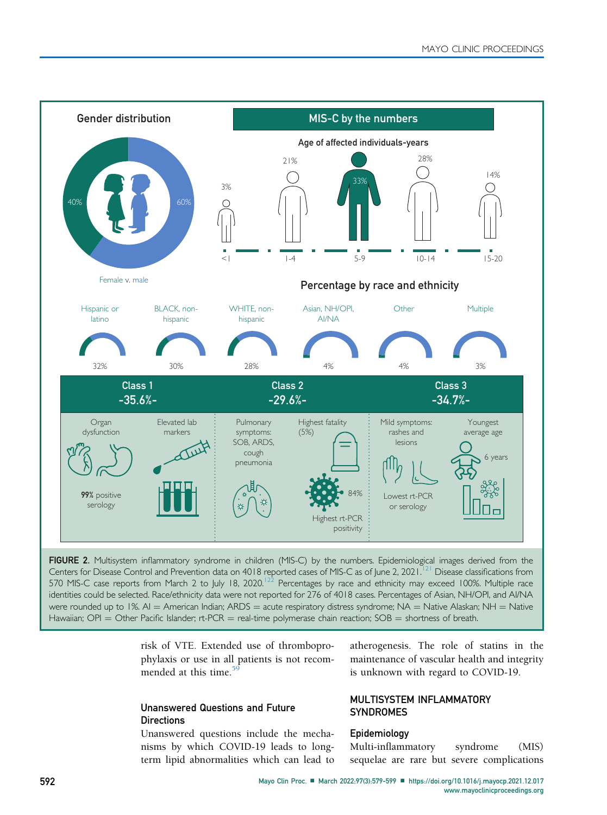<span id="page-13-0"></span>

FIGURE 2. Multisystem inflammatory syndrome in children (MIS-C) by the numbers. Epidemiological images derived from the Centers for Disease Control and Prevention data on 4018 reported cases of MIS-C as of June 2, 2021.<sup>[121](#page-20-5)</sup> Disease classifications from 570 MIS-C case reports from March 2 to July 18, 2020.<sup>[122](#page-20-6)</sup> Percentages by race and ethnicity may exceed 100%. Multiple race identities could be selected. Race/ethnicity data were not reported for 276 of 4018 cases. Percentages of Asian, NH/OPI, and AI/NA were rounded up to 1%. AI = American Indian; ARDS = acute respiratory distress syndrome;  $NA =$  Native Alaskan; NH = Native Hawaiian; OPI = Other Pacific Islander; rt-PCR = real-time polymerase chain reaction;  $SOB =$  shortness of breath.

risk of VTE. Extended use of thromboprophylaxis or use in all patients is not recommended at this time.<sup>5</sup>

# Unanswered Questions and Future **Directions**

Unanswered questions include the mechanisms by which COVID-19 leads to longterm lipid abnormalities which can lead to atherogenesis. The role of statins in the maintenance of vascular health and integrity is unknown with regard to COVID-19.

# MULTISYSTEM INFLAMMATORY **SYNDROMES**

# Epidemiology

Multi-inflammatory syndrome (MIS) sequelae are rare but severe complications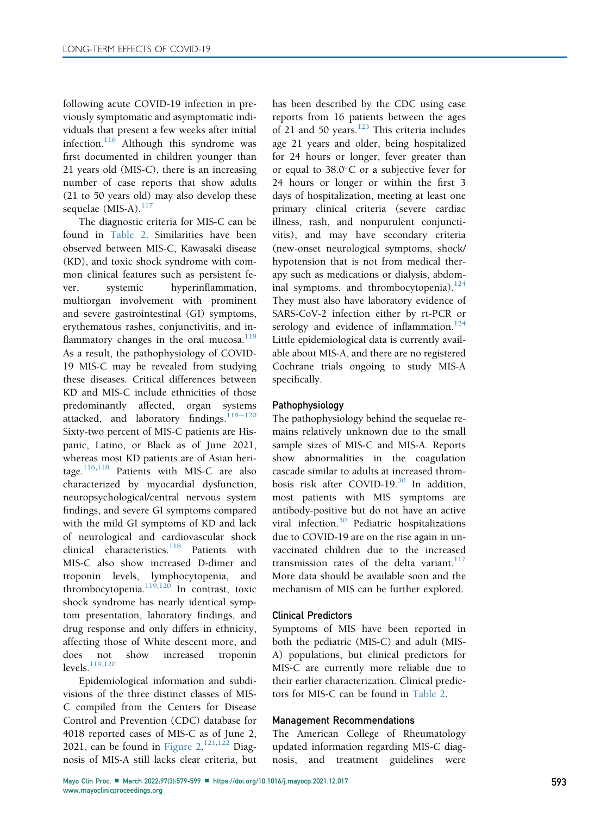following acute COVID-19 infection in previously symptomatic and asymptomatic individuals that present a few weeks after initial infection.<sup>[116](#page-20-7)</sup> Although this syndrome was first documented in children younger than 21 years old (MIS-C), there is an increasing number of case reports that show adults (21 to 50 years old) may also develop these sequelae (MIS-A).<sup>[117](#page-20-8)</sup>

The diagnostic criteria for MIS-C can be found in [Table 2.](#page-4-0) Similarities have been observed between MIS-C, Kawasaki disease (KD), and toxic shock syndrome with common clinical features such as persistent fever, systemic hyperinflammation, multiorgan involvement with prominent and severe gastrointestinal (GI) symptoms, erythematous rashes, conjunctivitis, and inflammatory changes in the oral mucosa. $118$ As a result, the pathophysiology of COVID-19 MIS-C may be revealed from studying these diseases. Critical differences between KD and MIS-C include ethnicities of those predominantly affected, organ systems attacked, and laboratory findings. $118-120$  $118-120$  $118-120$ Sixty-two percent of MIS-C patients are Hispanic, Latino, or Black as of June 2021, whereas most KD patients are of Asian heri-tage.<sup>[116](#page-20-7)[,118](#page-20-9)</sup> Patients with MIS-C are also characterized by myocardial dysfunction, neuropsychological/central nervous system findings, and severe GI symptoms compared with the mild GI symptoms of KD and lack of neurological and cardiovascular shock clinical characteristics.<sup>[118](#page-20-9)</sup> Patients with MIS-C also show increased D-dimer and troponin levels, lymphocytopenia, and thrombocytopenia.[119,](#page-20-10)[120](#page-20-11) In contrast, toxic shock syndrome has nearly identical symptom presentation, laboratory findings, and drug response and only differs in ethnicity, affecting those of White descent more, and does not show increased troponin levels. $\frac{119,120}{2}$  $\frac{119,120}{2}$  $\frac{119,120}{2}$  $\frac{119,120}{2}$ 

Epidemiological information and subdivisions of the three distinct classes of MIS-C compiled from the Centers for Disease Control and Prevention (CDC) database for 4018 reported cases of MIS-C as of June 2, 2021, can be found in Figure  $2^{121,122}$  $2^{121,122}$  $2^{121,122}$  $2^{121,122}$  Diagnosis of MIS-A still lacks clear criteria, but

has been described by the CDC using case reports from 16 patients between the ages of 21 and 50 years.<sup>[123](#page-20-12)</sup> This criteria includes age 21 years and older, being hospitalized for 24 hours or longer, fever greater than or equal to  $38.0^{\circ}$ C or a subjective fever for 24 hours or longer or within the first 3 days of hospitalization, meeting at least one primary clinical criteria (severe cardiac illness, rash, and nonpurulent conjunctivitis), and may have secondary criteria (new-onset neurological symptoms, shock/ hypotension that is not from medical therapy such as medications or dialysis, abdominal symptoms, and thrombocytopenia). $124$ They must also have laboratory evidence of SARS-CoV-2 infection either by rt-PCR or serology and evidence of inflammation.<sup>[124](#page-20-13)</sup> Little epidemiological data is currently available about MIS-A, and there are no registered Cochrane trials ongoing to study MIS-A specifically.

### Pathophysiology

The pathophysiology behind the sequelae remains relatively unknown due to the small sample sizes of MIS-C and MIS-A. Reports show abnormalities in the coagulation cascade similar to adults at increased thrombosis risk after COVID-19. $30$  In addition, most patients with MIS symptoms are antibody-positive but do not have an active viral infection.<sup>[30](#page-17-15)</sup> Pediatric hospitalizations due to COVID-19 are on the rise again in unvaccinated children due to the increased transmission rates of the delta variant.<sup>[117](#page-20-8)</sup> More data should be available soon and the mechanism of MIS can be further explored.

#### Clinical Predictors

Symptoms of MIS have been reported in both the pediatric (MIS-C) and adult (MIS-A) populations, but clinical predictors for MIS-C are currently more reliable due to their earlier characterization. Clinical predictors for MIS-C can be found in [Table 2.](#page-4-0)

#### Management Recommendations

The American College of Rheumatology updated information regarding MIS-C diagnosis, and treatment guidelines were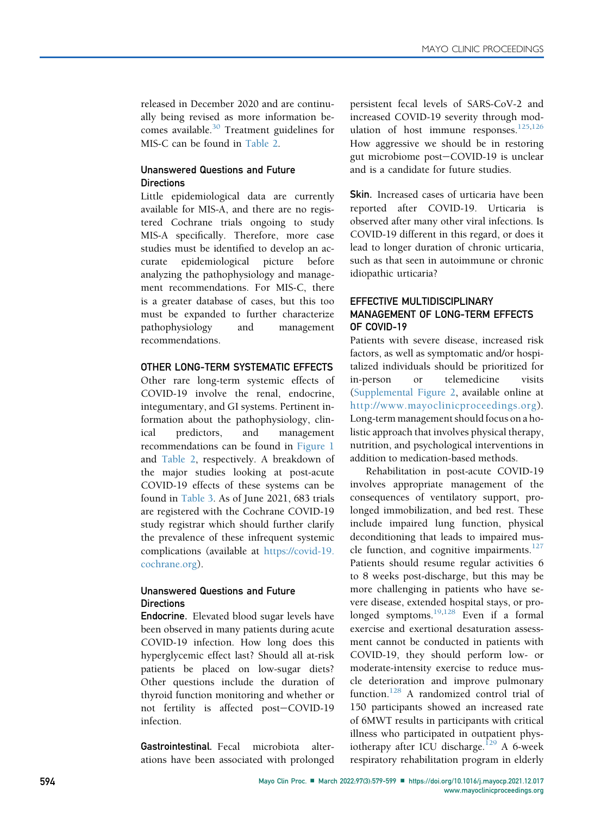released in December 2020 and are continually being revised as more information be-comes available.<sup>[30](#page-17-15)</sup> Treatment guidelines for MIS-C can be found in [Table 2.](#page-4-0)

# Unanswered Questions and Future **Directions**

Little epidemiological data are currently available for MIS-A, and there are no registered Cochrane trials ongoing to study MIS-A specifically. Therefore, more case studies must be identified to develop an accurate epidemiological picture before analyzing the pathophysiology and management recommendations. For MIS-C, there is a greater database of cases, but this too must be expanded to further characterize pathophysiology and management recommendations.

### OTHER LONG-TERM SYSTEMATIC EFFECTS

Other rare long-term systemic effects of COVID-19 involve the renal, endocrine, integumentary, and GI systems. Pertinent information about the pathophysiology, clinical predictors, and management recommendations can be found in [Figure 1](#page-12-0) and [Table 2,](#page-4-0) respectively. A breakdown of the major studies looking at post-acute COVID-19 effects of these systems can be found in [Table 3](#page-7-0). As of June 2021, 683 trials are registered with the Cochrane COVID-19 study registrar which should further clarify the prevalence of these infrequent systemic complications (available at [https://covid-19.](https://covid-19.cochrane.org) [cochrane.org\)](https://covid-19.cochrane.org).

# Unanswered Questions and Future **Directions**

Endocrine. Elevated blood sugar levels have been observed in many patients during acute COVID-19 infection. How long does this hyperglycemic effect last? Should all at-risk patients be placed on low-sugar diets? Other questions include the duration of thyroid function monitoring and whether or not fertility is affected post-COVID-19 infection.

Gastrointestinal. Fecal microbiota alterations have been associated with prolonged persistent fecal levels of SARS-CoV-2 and increased COVID-19 severity through mod-ulation of host immune responses.<sup>125,[126](#page-20-15)</sup> How aggressive we should be in restoring gut microbiome post-COVID-19 is unclear and is a candidate for future studies.

Skin. Increased cases of urticaria have been reported after COVID-19. Urticaria is observed after many other viral infections. Is COVID-19 different in this regard, or does it lead to longer duration of chronic urticaria, such as that seen in autoimmune or chronic idiopathic urticaria?

# EFFECTIVE MULTIDISCIPLINARY MANAGEMENT OF LONG-TERM EFFECTS OF COVID-19

Patients with severe disease, increased risk factors, as well as symptomatic and/or hospitalized individuals should be prioritized for in-person or telemedicine visits (Supplemental Figure 2, available online at [http://www.mayoclinicproceedings.org\)](http://www.mayoclinicproceedings.org). Long-term management should focus on a holistic approach that involves physical therapy, nutrition, and psychological interventions in addition to medication-based methods.

Rehabilitation in post-acute COVID-19 involves appropriate management of the consequences of ventilatory support, prolonged immobilization, and bed rest. These include impaired lung function, physical deconditioning that leads to impaired muscle function, and cognitive impairments. $127$ Patients should resume regular activities 6 to 8 weeks post-discharge, but this may be more challenging in patients who have severe disease, extended hospital stays, or pro-longed symptoms.<sup>[19](#page-17-7),[128](#page-20-17)</sup> Even if a formal exercise and exertional desaturation assessment cannot be conducted in patients with COVID-19, they should perform low- or moderate-intensity exercise to reduce muscle deterioration and improve pulmonary function.<sup>[128](#page-20-17)</sup> A randomized control trial of 150 participants showed an increased rate of 6MWT results in participants with critical illness who participated in outpatient phys-iotherapy after ICU discharge.<sup>[129](#page-20-18)</sup> A 6-week respiratory rehabilitation program in elderly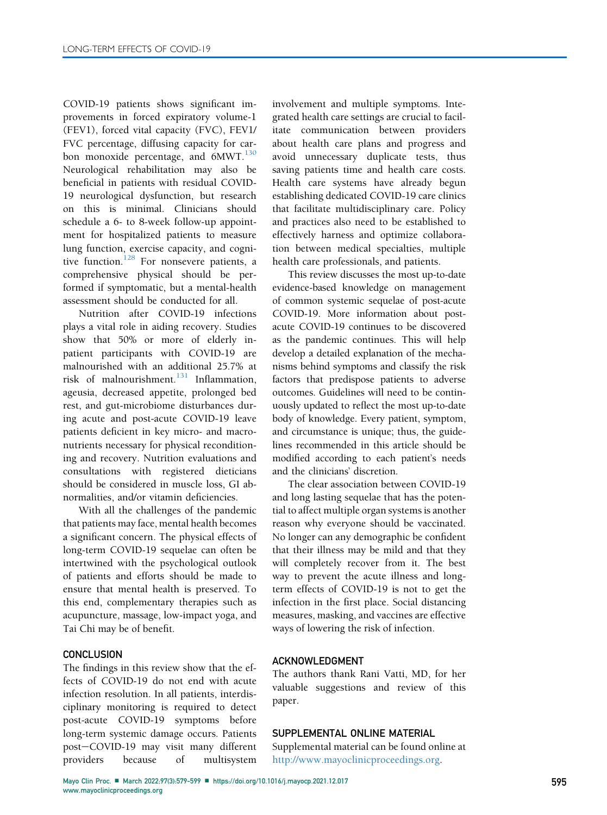COVID-19 patients shows significant improvements in forced expiratory volume-1 (FEV1), forced vital capacity (FVC), FEV1/ FVC percentage, diffusing capacity for car-bon monoxide percentage, and 6MWT.<sup>[130](#page-20-19)</sup> Neurological rehabilitation may also be beneficial in patients with residual COVID-19 neurological dysfunction, but research on this is minimal. Clinicians should schedule a 6- to 8-week follow-up appointment for hospitalized patients to measure lung function, exercise capacity, and cogni-tive function.<sup>[128](#page-20-17)</sup> For nonsevere patients, a comprehensive physical should be performed if symptomatic, but a mental-health assessment should be conducted for all.

Nutrition after COVID-19 infections plays a vital role in aiding recovery. Studies show that 50% or more of elderly inpatient participants with COVID-19 are malnourished with an additional 25.7% at risk of malnourishment. $131$  Inflammation, ageusia, decreased appetite, prolonged bed rest, and gut-microbiome disturbances during acute and post-acute COVID-19 leave patients deficient in key micro- and macronutrients necessary for physical reconditioning and recovery. Nutrition evaluations and consultations with registered dieticians should be considered in muscle loss, GI abnormalities, and/or vitamin deficiencies.

With all the challenges of the pandemic that patients may face, mental health becomes a significant concern. The physical effects of long-term COVID-19 sequelae can often be intertwined with the psychological outlook of patients and efforts should be made to ensure that mental health is preserved. To this end, complementary therapies such as acupuncture, massage, low-impact yoga, and Tai Chi may be of benefit.

# **CONCLUSION**

The findings in this review show that the effects of COVID-19 do not end with acute infection resolution. In all patients, interdisciplinary monitoring is required to detect post-acute COVID-19 symptoms before long-term systemic damage occurs. Patients post-COVID-19 may visit many different providers because of multisystem

involvement and multiple symptoms. Integrated health care settings are crucial to facilitate communication between providers about health care plans and progress and avoid unnecessary duplicate tests, thus saving patients time and health care costs. Health care systems have already begun establishing dedicated COVID-19 care clinics that facilitate multidisciplinary care. Policy and practices also need to be established to effectively harness and optimize collaboration between medical specialties, multiple health care professionals, and patients.

This review discusses the most up-to-date evidence-based knowledge on management of common systemic sequelae of post-acute COVID-19. More information about postacute COVID-19 continues to be discovered as the pandemic continues. This will help develop a detailed explanation of the mechanisms behind symptoms and classify the risk factors that predispose patients to adverse outcomes. Guidelines will need to be continuously updated to reflect the most up-to-date body of knowledge. Every patient, symptom, and circumstance is unique; thus, the guidelines recommended in this article should be modified according to each patient's needs and the clinicians' discretion.

The clear association between COVID-19 and long lasting sequelae that has the potential to affect multiple organ systems is another reason why everyone should be vaccinated. No longer can any demographic be confident that their illness may be mild and that they will completely recover from it. The best way to prevent the acute illness and longterm effects of COVID-19 is not to get the infection in the first place. Social distancing measures, masking, and vaccines are effective ways of lowering the risk of infection.

# ACKNOWLEDGMENT

The authors thank Rani Vatti, MD, for her valuable suggestions and review of this paper.

#### SUPPLEMENTAL ONLINE MATERIAL

Supplemental material can be found online at <http://www.mayoclinicproceedings.org>.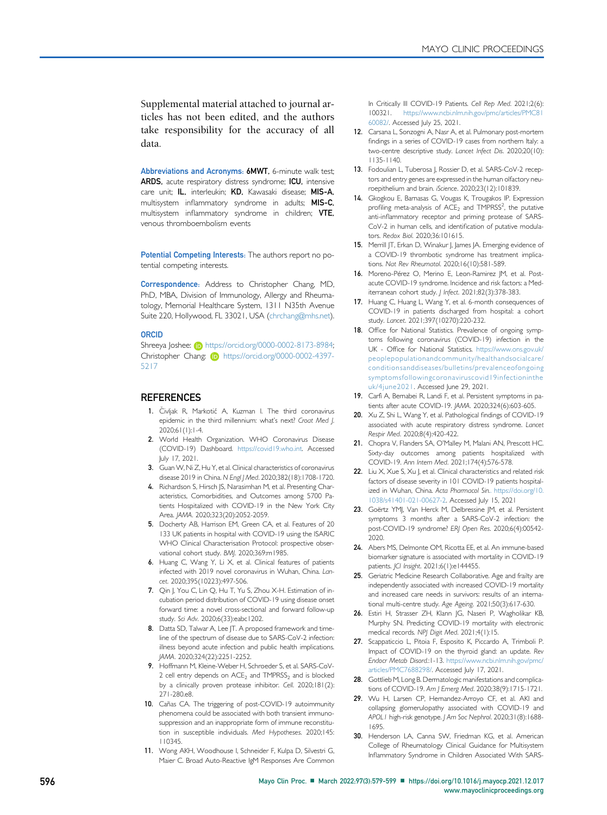Supplemental material attached to journal articles has not been edited, and the authors take responsibility for the accuracy of all data.

Abbreviations and Acronyms: 6MWT, 6-minute walk test; ARDS, acute respiratory distress syndrome; ICU, intensive care unit; IL, interleukin; KD, Kawasaki disease; MIS-A, multisystem inflammatory syndrome in adults; MIS-C, multisystem inflammatory syndrome in children; VTE, venous thromboembolism events

Potential Competing Interests: The authors report no potential competing interests.

Correspondence: Address to Christopher Chang, MD, PhD, MBA, Division of Immunology, Allergy and Rheumatology, Memorial Healthcare System, 1311 N35th Avenue Suite 220, Hollywood, FL 33021, USA ([chrchang@mhs.net\)](mailto:chrchang@mhs.net).

#### ORCID

Shreeya Joshee: **b** [https://orcid.org/0000-0002-8173-8984;](https://orcid.org/0000-0002-8173-8984) [Christopher Chang:](https://orcid.org/0000-0002-8173-8984) **b** [https://orcid.org/0000-0002-4397-](https://orcid.org/0000-0002-4397-5217) [5217](https://orcid.org/0000-0002-4397-5217)

#### **REFERENCES**

- <span id="page-17-0"></span>1. Čivljak R, Markotić A, Kuzman I. The third coronavirus epidemic in the third millennium: what's next? Croat Med J. 2020;61(1):1-4.
- <span id="page-17-1"></span>2. World Health Organization. WHO Coronavirus Disease (COVID-19) Dashboard. [https://covid19.who.int.](https://covid19.who.int) Accessed July 17, 2021.
- <span id="page-17-4"></span>3. Guan W, Ni Z, Hu Y, et al. Clinical characteristics of coronavirus disease 2019 in China. N Engl J Med. 2020;382(18):1708-1720.
- <span id="page-17-12"></span>4. Richardson S, Hirsch JS, Narasimhan M, et al. Presenting Characteristics, Comorbidities, and Outcomes among 5700 Patients Hospitalized with COVID-19 in the New York City Area. JAMA. 2020;323(20):2052-2059.
- 5. Docherty AB, Harrison EM, Green CA, et al. Features of 20 133 UK patients in hospital with COVID-19 using the ISARIC WHO Clinical Characterisation Protocol: prospective observational cohort study. BMJ. 2020;369:m1985.
- 6. Huang C, Wang Y, Li X, et al. Clinical features of patients infected with 2019 novel coronavirus in Wuhan, China. Lancet. 2020;395(10223):497-506.
- 7. Qin J, You C, Lin Q, Hu T, Yu S, Zhou X-H. Estimation of incubation period distribution of COVID-19 using disease onset forward time: a novel cross-sectional and forward follow-up study. Sci Adv. 2020;6(33):eabc1202.
- <span id="page-17-2"></span>8. Datta SD, Talwar A, Lee JT. A proposed framework and timeline of the spectrum of disease due to SARS-CoV-2 infection: illness beyond acute infection and public health implications. JAMA. 2020;324(22):2251-2252.
- <span id="page-17-5"></span>9. Hoffmann M, Kleine-Weber H, Schroeder S, et al. SARS-CoV-2 cell entry depends on  $ACE<sub>2</sub>$  and  $TMPRSS<sub>2</sub>$  and is blocked by a clinically proven protease inhibitor. Cell. 2020;181(2): 271-280.e8.
- 10. Cañas CA. The triggering of post-COVID-19 autoimmunity phenomena could be associated with both transient immunosuppression and an inappropriate form of immune reconstitution in susceptible individuals. Med Hypotheses. 2020;145: 110345.
- 11. Wong AKH, Woodhouse I, Schneider F, Kulpa D, Silvestri G, Maier C. Broad Auto-Reactive IgM Responses Are Common

In Critically Ill COVID-19 Patients. Cell Rep Med. 2021;2(6): 100321. [https://www.ncbi.nlm.nih.gov/pmc/articles/PMC81](https://www.ncbi.nlm.nih.gov/pmc/articles/PMC8160082/) [60082/](https://www.ncbi.nlm.nih.gov/pmc/articles/PMC8160082/). Accessed July 25, 2021.

- <span id="page-17-18"></span>12. Carsana L, Sonzogni A, Nasr A, et al. Pulmonary post-mortem findings in a series of COVID-19 cases from northern Italy: a two-centre descriptive study. Lancet Infect Dis. 2020;20(10): 1135-1140.
- 13. Fodoulian L, Tuberosa J, Rossier D, et al. SARS-CoV-2 receptors and entry genes are expressed in the human olfactory neuroepithelium and brain. iScience. 2020;23(12):101839.
- 14. Gkogkou E, Barnasas G, Vougas K, Trougakos IP. Expression profiling meta-analysis of  $ACE_2$  and TMPRSS<sup>2</sup>, the putative anti-inflammatory receptor and priming protease of SARS-CoV-2 in human cells, and identification of putative modulators. Redox Biol. 2020;36:101615.
- <span id="page-17-19"></span>15. Merrill JT, Erkan D, Winakur J, James JA. Emerging evidence of a COVID-19 thrombotic syndrome has treatment implications. Nat Rev Rheumatol. 2020;16(10):581-589.
- <span id="page-17-6"></span>16. Moreno-Pérez O, Merino E, Leon-Ramirez JM, et al. Postacute COVID-19 syndrome. Incidence and risk factors: a Mediterranean cohort study. | Infect. 2021;82(3):378-383.
- <span id="page-17-3"></span>17. Huang C, Huang L, Wang Y, et al. 6-month consequences of COVID-19 in patients discharged from hospital: a cohort study. Lancet. 2021;397(10270):220-232.
- <span id="page-17-17"></span><span id="page-17-16"></span>18. Office for National Statistics. Prevalence of ongoing symptoms following coronavirus (COVID-19) infection in the UK - Office for National Statistics. [https://www.ons.gov.uk/](https://www.ons.gov.uk/peoplepopulationandcommunity/healthandsocialcare/conditionsanddiseases/bulletins/prevalenceofongoingsymptomsfollowingcoronaviruscovid19infectionintheuk/4june2021) [peoplepopulationandcommunity/healthandsocialcare/](https://www.ons.gov.uk/peoplepopulationandcommunity/healthandsocialcare/conditionsanddiseases/bulletins/prevalenceofongoingsymptomsfollowingcoronaviruscovid19infectionintheuk/4june2021) [conditionsanddiseases/bulletins/prevalenceofongoing](https://www.ons.gov.uk/peoplepopulationandcommunity/healthandsocialcare/conditionsanddiseases/bulletins/prevalenceofongoingsymptomsfollowingcoronaviruscovid19infectionintheuk/4june2021) [symptomsfollowingcoronaviruscovid19infectioninthe](https://www.ons.gov.uk/peoplepopulationandcommunity/healthandsocialcare/conditionsanddiseases/bulletins/prevalenceofongoingsymptomsfollowingcoronaviruscovid19infectionintheuk/4june2021) [uk/4june2021.](https://www.ons.gov.uk/peoplepopulationandcommunity/healthandsocialcare/conditionsanddiseases/bulletins/prevalenceofongoingsymptomsfollowingcoronaviruscovid19infectionintheuk/4june2021) Accessed June 29, 2021.
- <span id="page-17-7"></span>19. Carfì A, Bernabei R, Landi F, et al. Persistent symptoms in patients after acute COVID-19. JAMA. 2020;324(6):603-605.
- <span id="page-17-9"></span>20. Xu Z, Shi L, Wang Y, et al. Pathological findings of COVID-19 associated with acute respiratory distress syndrome. Lancet Respir Med. 2020;8(4):420-422.
- <span id="page-17-8"></span>21. Chopra V, Flanders SA, O'Malley M, Malani AN, Prescott HC. Sixty-day outcomes among patients hospitalized with COVID-19. Ann Intern Med. 2021;174(4):576-578.
- <span id="page-17-10"></span>22. Liu X, Xue S, Xu J, et al. Clinical characteristics and related risk factors of disease severity in 101 COVID-19 patients hospital-ized in Wuhan, China. Acta Pharmacol Sin.[. https://doi.org/10.](https://doi.org/10.1038/s41401-021-00627-2) [1038/s41401-021-00627-2](https://doi.org/10.1038/s41401-021-00627-2). Accessed July 15, 2021
- <span id="page-17-11"></span>23. Goërtz YMJ, Van Herck M, Delbressine JM, et al. Persistent symptoms 3 months after a SARS-CoV-2 infection: the post-COVID-19 syndrome? ERJ Open Res. 2020;6(4):00542- 2020.
- 24. Abers MS, Delmonte OM, Ricotta EE, et al. An immune-based biomarker signature is associated with mortality in COVID-19 patients. JCI Insight. 2021;6(1):e144455.
- 25. Geriatric Medicine Research Collaborative. Age and frailty are independently associated with increased COVID-19 mortality and increased care needs in survivors: results of an international multi-centre study. Age Ageing. 2021;50(3):617-630.
- <span id="page-17-13"></span>26. Estiri H, Strasser ZH, Klann JG, Naseri P, Wagholikar KB, Murphy SN. Predicting COVID-19 mortality with electronic medical records. NPJ Digit Med. 2021;4(1):15.
- <span id="page-17-14"></span>27. Scappaticcio L, Pitoia F, Esposito K, Piccardo A, Trimboli P. Impact of COVID-19 on the thyroid gland: an update. Rev Endocr Metab Disord.:1-13. [https://www.ncbi.nlm.nih.gov/pmc/](https://www.ncbi.nlm.nih.gov/pmc/articles/PMC7688298/) [articles/PMC7688298/.](https://www.ncbi.nlm.nih.gov/pmc/articles/PMC7688298/) Accessed July 17, 2021.
- <span id="page-17-20"></span>28. Gottlieb M, Long B. Dermatologic manifestations and complications of COVID-19. Am J Emerg Med. 2020;38(9):1715-1721.
- <span id="page-17-21"></span>29. Wu H, Larsen CP, Hernandez-Arroyo CF, et al. AKI and collapsing glomerulopathy associated with COVID-19 and APOL1 high-risk genotype. J Am Soc Nephrol. 2020;31(8):1688- 1695.
- <span id="page-17-15"></span>30. Henderson LA, Canna SW, Friedman KG, et al. American College of Rheumatology Clinical Guidance for Multisystem Inflammatory Syndrome in Children Associated With SARS-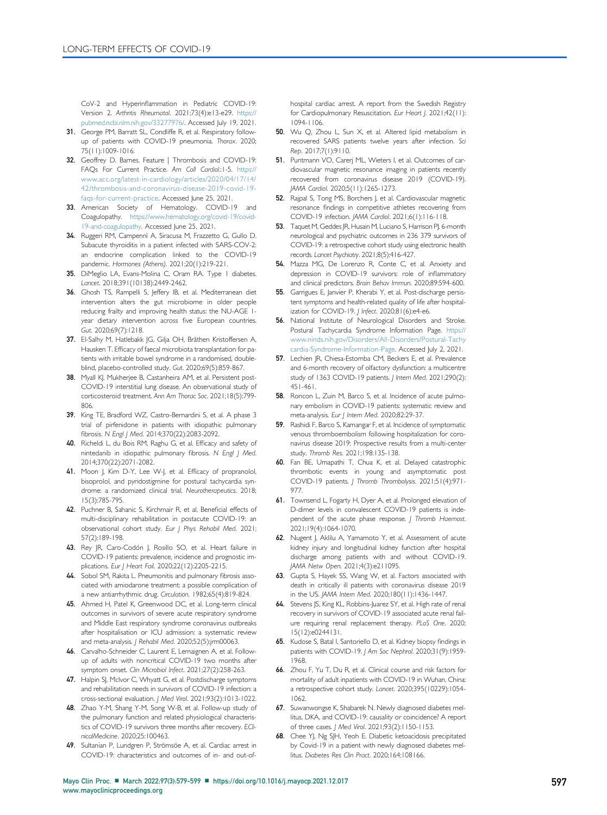<span id="page-18-10"></span><span id="page-18-9"></span><span id="page-18-8"></span><span id="page-18-7"></span>CoV-2 and Hyperinflammation in Pediatric COVID-19: Version 2. Arthritis Rheumatol. 2021;73(4):e13-e29. [https://](https://pubmed.ncbi.nlm.nih.gov/33277976/) [pubmed.ncbi.nlm.nih.gov/33277976/](https://pubmed.ncbi.nlm.nih.gov/33277976/). Accessed July 19, 2021.

- <span id="page-18-2"></span>31. George PM, Barratt SL, Condliffe R, et al. Respiratory followup of patients with COVID-19 pneumonia. Thorax. 2020; 75(11):1009-1016.
- 32. Geoffrey D. Barnes. Feature | Thrombosis and COVID-19: FAQs For Current Practice. Am Coll Cardiol.:1-5. [https://](https://www.acc.org/latest-in-cardiology/articles/2020/04/17/14/42/thrombosis-and-coronavirus-disease-2019-covid-19-faqs-for-current-practice) [www.acc.org/latest-in-cardiology/articles/2020/04/17/14/](https://www.acc.org/latest-in-cardiology/articles/2020/04/17/14/42/thrombosis-and-coronavirus-disease-2019-covid-19-faqs-for-current-practice) [42/thrombosis-and-coronavirus-disease-2019-covid-19](https://www.acc.org/latest-in-cardiology/articles/2020/04/17/14/42/thrombosis-and-coronavirus-disease-2019-covid-19-faqs-for-current-practice) [faqs-for-current-practice.](https://www.acc.org/latest-in-cardiology/articles/2020/04/17/14/42/thrombosis-and-coronavirus-disease-2019-covid-19-faqs-for-current-practice) Accessed June 25, 2021.
- 33. American Society of Hematology. COVID-19 and Coagulopathy. [https://www.hematology.org/covid-19/covid-](https://www.hematology.org/covid-19/covid-19-and-coagulopathy)[19-and-coagulopathy](https://www.hematology.org/covid-19/covid-19-and-coagulopathy). Accessed June 25, 2021.
- 34. Ruggeri RM, Campennì A, Siracusa M, Frazzetto G, Gullo D. Subacute thyroiditis in a patient infected with SARS-COV-2: an endocrine complication linked to the COVID-19 pandemic. Hormones (Athens). 2021;20(1):219-221.
- <span id="page-18-28"></span><span id="page-18-27"></span>35. DiMeglio LA, Evans-Molina C, Oram RA. Type 1 diabetes. Lancet. 2018;391(10138):2449-2462.
- 36. Ghosh TS, Rampelli S, Jeffery IB, et al. Mediterranean diet intervention alters the gut microbiome in older people reducing frailty and improving health status: the NU-AGE 1 year dietary intervention across five European countries. Gut. 2020;69(7):1218.
- 37. El-Salhy M, Hatlebakk JG, Gilja OH, Bråthen Kristoffersen A, Hausken T. Efficacy of faecal microbiota transplantation for patients with irritable bowel syndrome in a randomised, doubleblind, placebo-controlled study. Gut. 2020;69(5):859-867.
- <span id="page-18-3"></span>38. Myall KJ, Mukherjee B, Castanheira AM, et al. Persistent post-COVID-19 interstitial lung disease. An observational study of corticosteroid treatment. Ann Am Thorac Soc. 2021;18(5):799- 806.
- 39. King TE, Bradford WZ, Castro-Bernardini S, et al. A phase 3 trial of pirfenidone in patients with idiopathic pulmonary fibrosis. N Engl J Med. 2014;370(22):2083-2092.
- 40. Richeldi L, du Bois RM, Raghu G, et al. Efficacy and safety of nintedanib in idiopathic pulmonary fibrosis. N Engl J Med. 2014;370(22):2071-2082.
- <span id="page-18-32"></span>41. Moon J, Kim D-Y, Lee W-J, et al. Efficacy of propranolol, bisoprolol, and pyridostigmine for postural tachycardia syndrome: a randomized clinical trial. Neurotherapeutics. 2018; 15(3):785-795.
- 42. Puchner B, Sahanic S, Kirchmair R, et al. Beneficial effects of multi-disciplinary rehabilitation in postacute COVID-19: an observational cohort study. Eur J Phys Rehabil Med. 2021; 57(2):189-198.
- <span id="page-18-4"></span>43. Rey JR, Caro-Codón J, Rosillo SO, et al. Heart failure in COVID-19 patients: prevalence, incidence and prognostic implications. Eur J Heart Fail. 2020;22(12):2205-2215.
- 44. Sobol SM, Rakita L. Pneumonitis and pulmonary fibrosis associated with amiodarone treatment: a possible complication of a new antiarrhythmic drug. Circulation. 1982;65(4):819-824.
- 45. Ahmed H, Patel K, Greenwood DC, et al. Long-term clinical outcomes in survivors of severe acute respiratory syndrome and Middle East respiratory syndrome coronavirus outbreaks after hospitalisation or ICU admission: a systematic review and meta-analysis. | Rehabil Med. 2020;52(5):jrm00063.
- 46. Carvalho-Schneider C, Laurent E, Lemaignen A, et al. Followup of adults with noncritical COVID-19 two months after symptom onset. Clin Microbiol Infect. 2021;27(2):258-263.
- <span id="page-18-0"></span>47. Halpin SJ, McIvor C, Whyatt G, et al. Postdischarge symptoms and rehabilitation needs in survivors of COVID-19 infection: a cross-sectional evaluation. J Med Virol. 2021;93(2):1013-1022.
- <span id="page-18-1"></span>48. Zhao Y-M, Shang Y-M, Song W-B, et al. Follow-up study of the pulmonary function and related physiological characteristics of COVID-19 survivors three months after recovery. EClinicalMedicine. 2020;25:100463.
- 49. Sultanian P, Lundgren P, Strömsöe A, et al. Cardiac arrest in COVID-19: characteristics and outcomes of in- and out-of-

<span id="page-18-6"></span>hospital cardiac arrest. A report from the Swedish Registry for Cardiopulmonary Resuscitation. Eur Heart J. 2021;42(11): 1094-1106.

- 50. Wu Q, Zhou L, Sun X, et al. Altered lipid metabolism in recovered SARS patients twelve years after infection. Sci Rep. 2017;7(1):9110.
- 51. Puntmann VO, Carerj ML, Wieters I, et al. Outcomes of cardiovascular magnetic resonance imaging in patients recently recovered from coronavirus disease 2019 (COVID-19). JAMA Cardiol. 2020;5(11):1265-1273.
- 52. Rajpal S, Tong MS, Borchers J, et al. Cardiovascular magnetic resonance findings in competitive athletes recovering from COVID-19 infection. JAMA Cardiol. 2021;6(1):116-118.
- <span id="page-18-5"></span>53. Taquet M, Geddes JR, Husain M, Luciano S, Harrison PJ. 6-month neurological and psychiatric outcomes in 236 379 survivors of COVID-19: a retrospective cohort study using electronic health records. Lancet Psychiatry. 2021;8(5):416-427.
- <span id="page-18-30"></span><span id="page-18-25"></span><span id="page-18-24"></span><span id="page-18-23"></span><span id="page-18-22"></span><span id="page-18-21"></span><span id="page-18-20"></span><span id="page-18-19"></span><span id="page-18-18"></span><span id="page-18-17"></span><span id="page-18-16"></span><span id="page-18-15"></span><span id="page-18-14"></span><span id="page-18-13"></span><span id="page-18-12"></span><span id="page-18-11"></span>54. Mazza MG, De Lorenzo R, Conte C, et al. Anxiety and depression in COVID-19 survivors: role of inflammatory and clinical predictors. Brain Behav Immun. 2020;89:594-600.
- <span id="page-18-26"></span>55. Garrigues E, Janvier P, Kherabi Y, et al. Post-discharge persistent symptoms and health-related quality of life after hospitalization for COVID-19. J Infect. 2020;81(6):e4-e6.
- <span id="page-18-31"></span>56. National Institute of Neurological Disorders and Stroke. Postural Tachycardia Syndrome Information Page. [https://](https://www.ninds.nih.gov/Disorders/All-Disorders/Postural-Tachycardia-Syndrome-Information-Page) [www.ninds.nih.gov/Disorders/All-Disorders/Postural-Tachy](https://www.ninds.nih.gov/Disorders/All-Disorders/Postural-Tachycardia-Syndrome-Information-Page) [cardia-Syndrome-Information-Page](https://www.ninds.nih.gov/Disorders/All-Disorders/Postural-Tachycardia-Syndrome-Information-Page). Accessed July 2, 2021.
- <span id="page-18-29"></span>57. Lechien JR, Chiesa-Estomba CM, Beckers E, et al. Prevalence and 6-month recovery of olfactory dysfunction: a multicentre study of 1363 COVID-19 patients. J Intern Med. 2021;290(2): 451-461.
- <span id="page-18-34"></span>58. Roncon L, Zuin M, Barco S, et al. Incidence of acute pulmonary embolism in COVID-19 patients: systematic review and meta-analysis. Eur J Intern Med. 2020;82:29-37.
- <span id="page-18-33"></span>59. Rashidi F, Barco S, Kamangar F, et al. Incidence of symptomatic venous thromboembolism following hospitalization for coronavirus disease 2019: Prospective results from a multi-center study. Thromb Res. 2021;198:135-138.
- 60. Fan BE, Umapathi T, Chua K, et al. Delayed catastrophic thrombotic events in young and asymptomatic post COVID-19 patients. J Thromb Thrombolysis. 2021;51(4):971- 977.
- 61. Townsend L, Fogarty H, Dyer A, et al. Prolonged elevation of D-dimer levels in convalescent COVID-19 patients is independent of the acute phase response. J Thromb Haemost. 2021;19(4):1064-1070.
- 62. Nugent J, Aklilu A, Yamamoto Y, et al. Assessment of acute kidney injury and longitudinal kidney function after hospital discharge among patients with and without COVID-19. JAMA Netw Open. 2021;4(3):e211095.
- 63. Gupta S, Hayek SS, Wang W, et al. Factors associated with death in critically ill patients with coronavirus disease 2019 in the US. JAMA Intern Med. 2020;180(11):1436-1447.
- 64. Stevens JS, King KL, Robbins-Juarez SY, et al. High rate of renal recovery in survivors of COVID-19 associated acute renal failure requiring renal replacement therapy. PLoS One. 2020; 15(12):e0244131.
- 65. Kudose S, Batal I, Santoriello D, et al. Kidney biopsy findings in patients with COVID-19. J Am Soc Nephrol. 2020;31(9):1959- 1968.
- 66. Zhou F, Yu T, Du R, et al. Clinical course and risk factors for mortality of adult inpatients with COVID-19 in Wuhan, China: a retrospective cohort study. Lancet. 2020;395(10229):1054- 1062.
- 67. Suwanwongse K, Shabarek N. Newly diagnosed diabetes mellitus, DKA, and COVID-19: causality or coincidence? A report of three cases. J Med Virol. 2021;93(2):1150-1153.
- 68. Chee YJ, Ng SJH, Yeoh E. Diabetic ketoacidosis precipitated by Covid-19 in a patient with newly diagnosed diabetes mellitus. Diabetes Res Clin Pract. 2020;164:108166.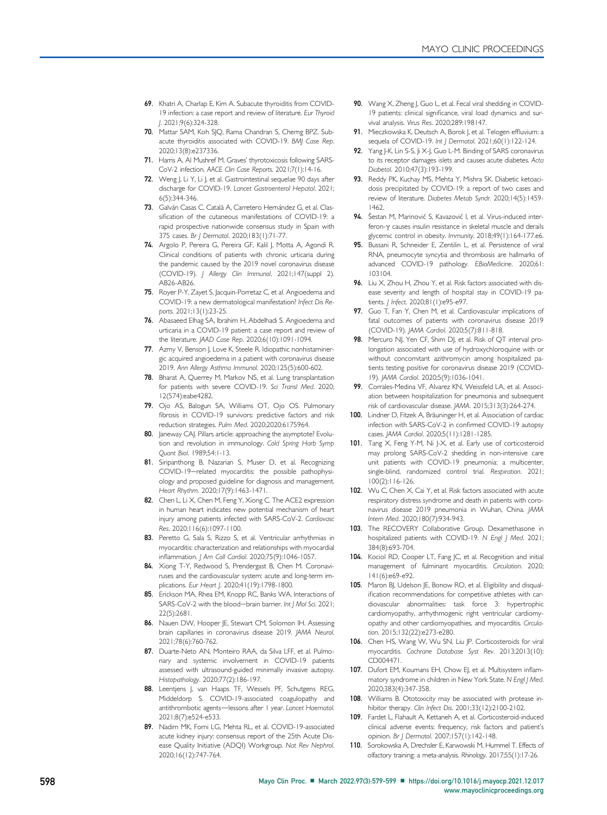- 69. Khatri A, Charlap E, Kim A. Subacute thyroiditis from COVID-19 infection: a case report and review of literature. Eur Thyroid J. 2021;9(6):324-328.
- 70. Mattar SAM, Koh SJQ, Rama Chandran S, Cherng BPZ. Subacute thyroiditis associated with COVID-19. BMJ Case Rep. 2020;13(8):e237336.
- 71. Harris A, Al Mushref M. Graves' thyrotoxicosis following SARS-CoV-2 infection. AACE Clin Case Reports. 2021;7(1):14-16.
- 72. Weng J, Li Y, Li J, et al. Gastrointestinal sequelae 90 days after discharge for COVID-19. Lancet Gastroenterol Hepatol. 2021; 6(5):344-346.
- 73. Galván Casas C, Català A, Carretero Hernández G, et al. Classification of the cutaneous manifestations of COVID-19: a rapid prospective nationwide consensus study in Spain with 375 cases. Br J Dermatol. 2020;183(1):71-77.
- <span id="page-19-17"></span>74. Argolo P, Pereira G, Pereira GF, Kalil J, Motta A, Agondi R. Clinical conditions of patients with chronic urticaria during the pandemic caused by the 2019 novel coronavirus disease (COVID-19). J Allergy Clin Immunol. 2021;147(suppl 2). AB26-AB26.
- <span id="page-19-18"></span>75. Royer P-Y, Zayet S, Jacquin-Porretaz C, et al. Angioedema and COVID-19: a new dermatological manifestation? Infect Dis Reports. 2021;13(1):23-25.
- 76. Abasaeed Elhag SA, Ibrahim H, Abdelhadi S. Angioedema and urticaria in a COVID-19 patient: a case report and review of the literature. JAAD Case Rep. 2020;6(10):1091-1094.
- 77. Azmy V, Benson J, Love K, Steele R. Idiopathic nonhistaminergic acquired angioedema in a patient with coronavirus disease 2019. Ann Allergy Asthma Immunol. 2020;125(5):600-602.
- <span id="page-19-21"></span>78. Bharat A, Querrey M, Markov NS, et al. Lung transplantation for patients with severe COVID-19. Sci Transl Med. 2020; 12(574):eabe4282.
- 79. Ojo AS, Balogun SA, Williams OT, Ojo OS. Pulmonary fibrosis in COVID-19 survivors: predictive factors and risk reduction strategies. Pulm Med. 2020;2020:6175964.
- 80. Janeway CAJ. Pillars article: approaching the asymptote? Evolution and revolution in immunology. Cold Spring Harb Symp Quant Biol. 1989;54:1-13.
- 81. Siripanthong B, Nazarian S, Muser D, et al. Recognizing COVID-19-related myocarditis: the possible pathophysiology and proposed guideline for diagnosis and management. Heart Rhythm. 2020;17(9):1463-1471.
- 82. Chen L, Li X, Chen M, Feng Y, Xiong C. The ACE2 expression in human heart indicates new potential mechanism of heart injury among patients infected with SARS-CoV-2. Cardiovasc Res. 2020;116(6):1097-1100.
- 83. Peretto G, Sala S, Rizzo S, et al. Ventricular arrhythmias in myocarditis: characterization and relationships with myocardial inflammation. J Am Coll Cardiol. 2020;75(9):1046-1057.
- 84. Xiong T-Y, Redwood S, Prendergast B, Chen M. Coronaviruses and the cardiovascular system: acute and long-term implications. Eur Heart J. 2020;41(19):1798-1800.
- 85. Erickson MA, Rhea EM, Knopp RC, Banks WA. Interactions of SARS-CoV-2 with the blood-brain barrier. Int | Mol Sci. 2021; 22(5):2681.
- 86. Nauen DW, Hooper JE, Stewart CM, Solomon IH. Assessing brain capillaries in coronavirus disease 2019. JAMA Neurol. 2021;78(6):760-762.
- 87. Duarte-Neto AN, Monteiro RAA, da Silva LFF, et al. Pulmonary and systemic involvement in COVID-19 patients assessed with ultrasound-guided minimally invasive autopsy. Histopathology. 2020;77(2):186-197.
- <span id="page-19-20"></span>88. Leentjens J, van Haaps TF, Wessels PF, Schutgens REG, Middeldorp S. COVID-19-associated coagulopathy and antithrombotic agents-lessons after 1 year. Lancet Haematol. 2021;8(7):e524-e533.
- 89. Nadim MK, Forni LG, Mehta RL, et al. COVID-19-associated acute kidney injury: consensus report of the 25th Acute Disease Quality Initiative (ADQI) Workgroup. Nat Rev Nephrol. 2020;16(12):747-764.
- 90. Wang X, Zheng J, Guo L, et al. Fecal viral shedding in COVID-19 patients: clinical significance, viral load dynamics and survival analysis. Virus Res. 2020;289:198147.
- 91. Mieczkowska K, Deutsch A, Borok J, et al. Telogen effluvium: a sequela of COVID-19. Int J Dermatol. 2021;60(1):122-124.
- <span id="page-19-13"></span><span id="page-19-12"></span>92. Yang J-K, Lin S-S, Ji X-J, Guo L-M. Binding of SARS coronavirus to its receptor damages islets and causes acute diabetes. Acta Diabetol. 2010;47(3):193-199.
- 93. Reddy PK, Kuchay MS, Mehta Y, Mishra SK. Diabetic ketoacidosis precipitated by COVID-19: a report of two cases and review of literature. Diabetes Metab Syndr. 2020;14(5):1459- 1462.
- 94. Šestan M, Marinović S, Kavazović I, et al. Virus-induced interferon-g causes insulin resistance in skeletal muscle and derails glycemic control in obesity. Immunity. 2018;49(1):164-177.e6.
- <span id="page-19-0"></span>95. Bussani R, Schneider E, Zentilin L, et al. Persistence of viral RNA, pneumocyte syncytia and thrombosis are hallmarks of advanced COVID-19 pathology. EBioMedicine. 2020;61: 103104.
- <span id="page-19-1"></span>96. Liu X, Zhou H, Zhou Y, et al. Risk factors associated with disease severity and length of hospital stay in COVID-19 patients. J Infect. 2020;81(1):e95-e97.
- <span id="page-19-2"></span>97. Guo T, Fan Y, Chen M, et al. Cardiovascular implications of fatal outcomes of patients with coronavirus disease 2019 (COVID-19). JAMA Cardiol. 2020;5(7):811-818.
- <span id="page-19-3"></span>98. Mercuro NJ, Yen CF, Shim DJ, et al. Risk of QT interval prolongation associated with use of hydroxychloroquine with or without concomitant azithromycin among hospitalized patients testing positive for coronavirus disease 2019 (COVID-19). JAMA Cardiol. 2020;5(9):1036-1041.
- <span id="page-19-4"></span>99. Corrales-Medina VF, Alvarez KN, Weissfeld LA, et al. Association between hospitalization for pneumonia and subsequent risk of cardiovascular disease. JAMA. 2015;313(3):264-274.
- <span id="page-19-5"></span>100. Lindner D, Fitzek A, Bräuninger H, et al. Association of cardiac infection with SARS-CoV-2 in confirmed COVID-19 autopsy cases. JAMA Cardiol. 2020;5(11):1281-1285.
- <span id="page-19-6"></span>101. Tang X, Feng Y-M, Ni J-X, et al. Early use of corticosteroid may prolong SARS-CoV-2 shedding in non-intensive care unit patients with COVID-19 pneumonia: a multicenter, single-blind, randomized control trial. Respiration. 2021; 100(2):116-126.
- <span id="page-19-7"></span>102. Wu C, Chen X, Cai Y, et al. Risk factors associated with acute respiratory distress syndrome and death in patients with coronavirus disease 2019 pneumonia in Wuhan, China. JAMA Intern Med. 2020;180(7):934-943.
- <span id="page-19-8"></span>103. The RECOVERY Collaborative Group. Dexamethasone in hospitalized patients with COVID-19. N Engl | Med. 2021; 384(8):693-704.
- <span id="page-19-9"></span>104. Kociol RD, Cooper LT, Fang JC, et al. Recognition and initial management of fulminant myocarditis. Circulation. 2020; 141(6):e69-e92.
- <span id="page-19-10"></span>105. Maron BJ, Udelson JE, Bonow RO, et al. Eligibility and disqualification recommendations for competitive athletes with cardiovascular abnormalities: task force 3: hypertrophic cardiomyopathy, arrhythmogenic right ventricular cardiomyopathy and other cardiomyopathies, and myocarditis. Circulation. 2015;132(22):e273-e280.
- <span id="page-19-11"></span>106. Chen HS, Wang W, Wu SN, Liu JP. Corticosteroids for viral myocarditis. Cochrane Database Syst Rev. 2013;2013(10): CD004471.
- <span id="page-19-14"></span>107. Dufort EM, Koumans EH, Chow EJ, et al. Multisystem inflammatory syndrome in children in New York State. N Engl J Med. 2020;383(4):347-358.
- <span id="page-19-15"></span>108. Williams B. Ototoxicity may be associated with protease inhibitor therapy. Clin Infect Dis. 2001;33(12):2100-2102.
- <span id="page-19-16"></span>109. Fardet L, Flahault A, Kettaneh A, et al. Corticosteroid-induced clinical adverse events: frequency, risk factors and patient's opinion. Br J Dermatol. 2007;157(1):142-148.
- <span id="page-19-19"></span>110. Sorokowska A, Drechsler E, Karwowski M, Hummel T. Effects of olfactory training: a meta-analysis. Rhinology. 2017;55(1):17-26.